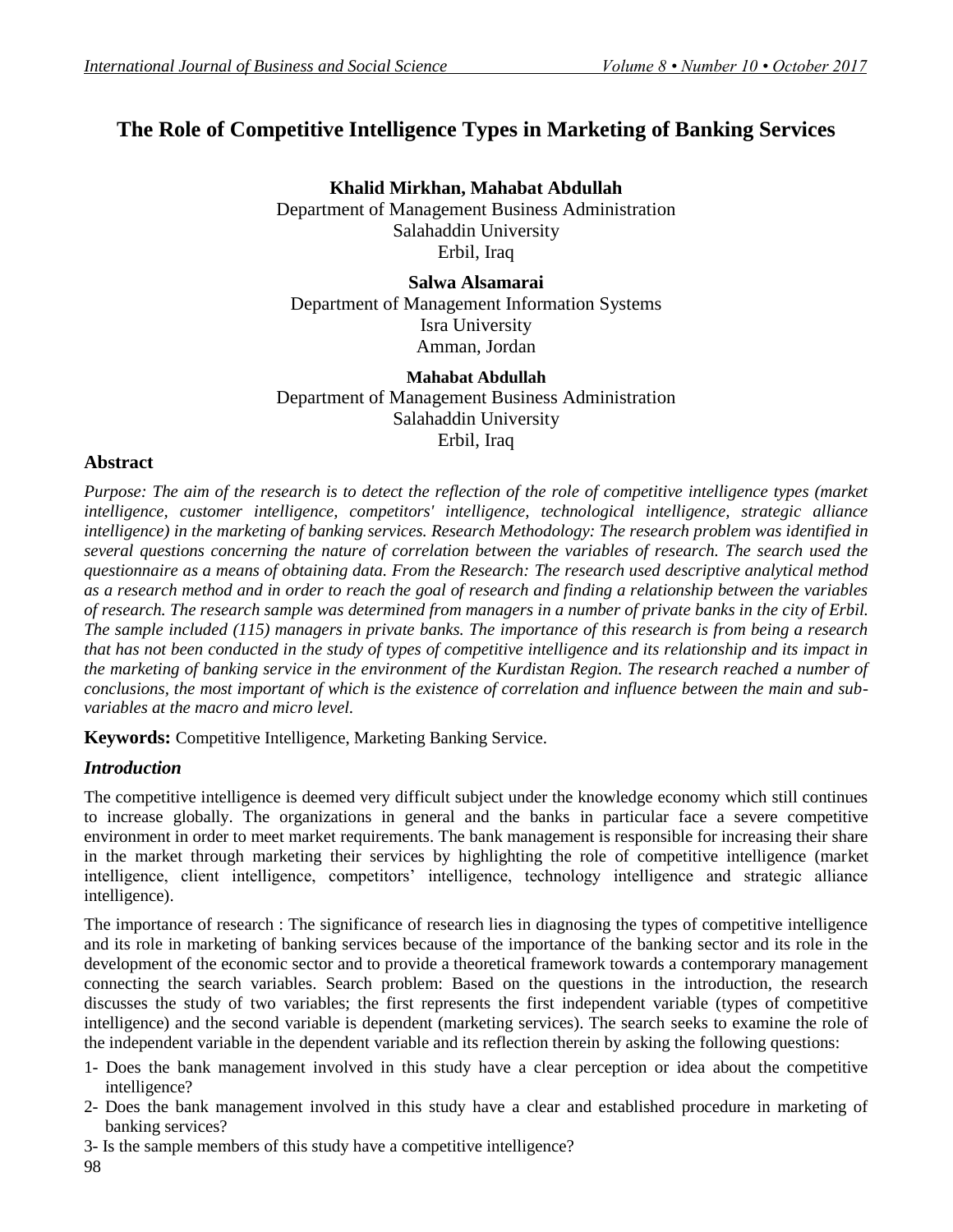# **The Role of Competitive Intelligence Types in Marketing of Banking Services**

**Khalid Mirkhan, Mahabat Abdullah** Department of Management Business Administration Salahaddin University Erbil, Iraq

**Salwa Alsamarai** Department of Management Information Systems Isra University Amman, Jordan

### **Mahabat Abdullah** Department of Management Business Administration Salahaddin University Erbil, Iraq

### **Abstract**

*Purpose: The aim of the research is to detect the reflection of the role of competitive intelligence types (market intelligence, customer intelligence, competitors' intelligence, technological intelligence, strategic alliance intelligence) in the marketing of banking services. Research Methodology: The research problem was identified in several questions concerning the nature of correlation between the variables of research. The search used the questionnaire as a means of obtaining data. From the Research: The research used descriptive analytical method as a research method and in order to reach the goal of research and finding a relationship between the variables of research. The research sample was determined from managers in a number of private banks in the city of Erbil. The sample included (115) managers in private banks. The importance of this research is from being a research that has not been conducted in the study of types of competitive intelligence and its relationship and its impact in the marketing of banking service in the environment of the Kurdistan Region. The research reached a number of conclusions, the most important of which is the existence of correlation and influence between the main and subvariables at the macro and micro level.* 

**Keywords:** Competitive Intelligence, Marketing Banking Service.

# *Introduction*

The competitive intelligence is deemed very difficult subject under the knowledge economy which still continues to increase globally. The organizations in general and the banks in particular face a severe competitive environment in order to meet market requirements. The bank management is responsible for increasing their share in the market through marketing their services by highlighting the role of competitive intelligence (market intelligence, client intelligence, competitors' intelligence, technology intelligence and strategic alliance intelligence).

The importance of research : The significance of research lies in diagnosing the types of competitive intelligence and its role in marketing of banking services because of the importance of the banking sector and its role in the development of the economic sector and to provide a theoretical framework towards a contemporary management connecting the search variables. Search problem: Based on the questions in the introduction, the research discusses the study of two variables; the first represents the first independent variable (types of competitive intelligence) and the second variable is dependent (marketing services). The search seeks to examine the role of the independent variable in the dependent variable and its reflection therein by asking the following questions:

- 1- Does the bank management involved in this study have a clear perception or idea about the competitive intelligence?
- 2- Does the bank management involved in this study have a clear and established procedure in marketing of banking services?
- 3- Is the sample members of this study have a competitive intelligence?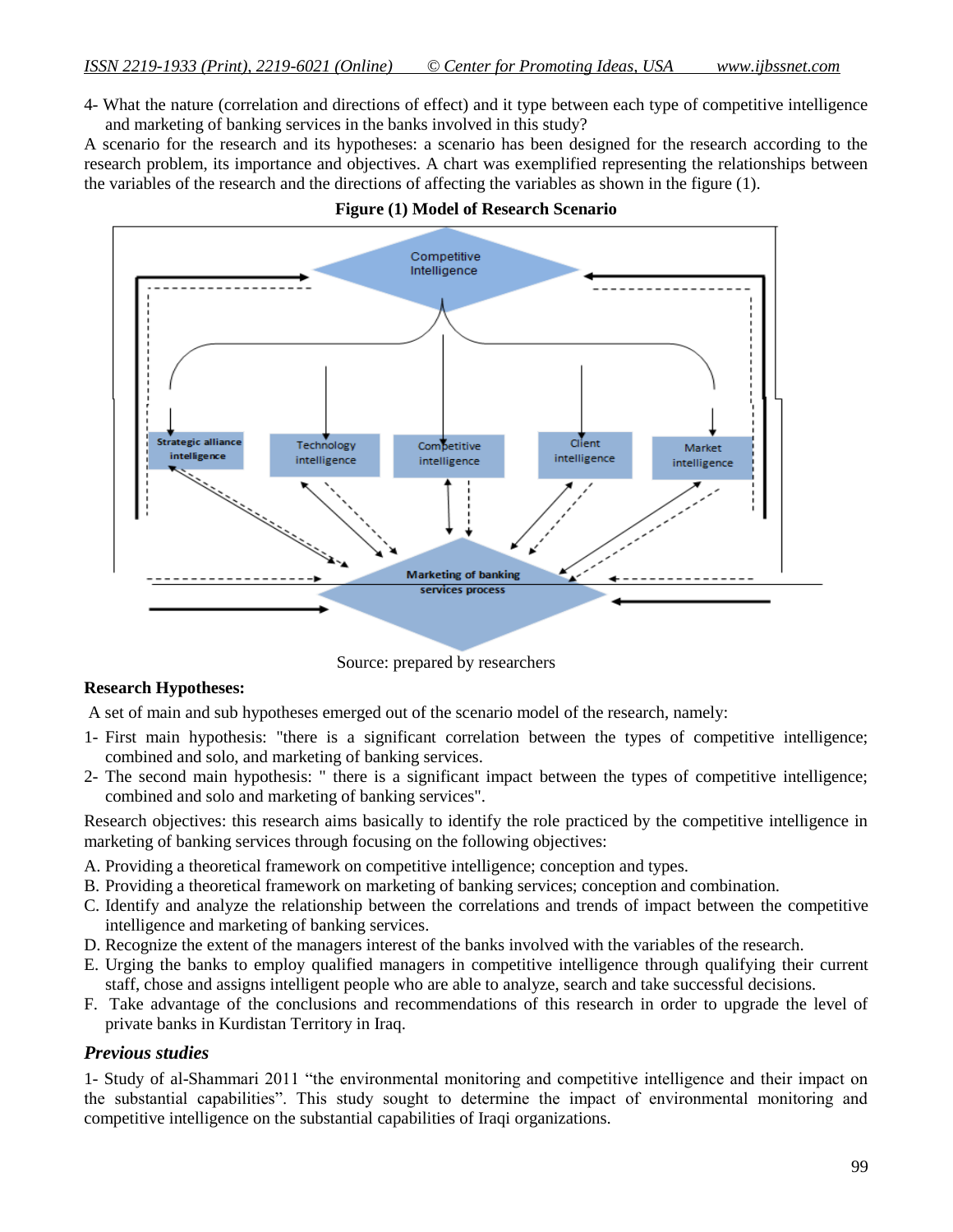4- What the nature (correlation and directions of effect) and it type between each type of competitive intelligence and marketing of banking services in the banks involved in this study?

A scenario for the research and its hypotheses: a scenario has been designed for the research according to the research problem, its importance and objectives. A chart was exemplified representing the relationships between the variables of the research and the directions of affecting the variables as shown in the figure (1).



#### **Figure (1) Model of Research Scenario**

Source: prepared by researchers

#### **Research Hypotheses:**

A set of main and sub hypotheses emerged out of the scenario model of the research, namely:

- 1- First main hypothesis: "there is a significant correlation between the types of competitive intelligence; combined and solo, and marketing of banking services.
- 2- The second main hypothesis: " there is a significant impact between the types of competitive intelligence; combined and solo and marketing of banking services".

Research objectives: this research aims basically to identify the role practiced by the competitive intelligence in marketing of banking services through focusing on the following objectives:

- A. Providing a theoretical framework on competitive intelligence; conception and types.
- B. Providing a theoretical framework on marketing of banking services; conception and combination.
- C. Identify and analyze the relationship between the correlations and trends of impact between the competitive intelligence and marketing of banking services.
- D. Recognize the extent of the managers interest of the banks involved with the variables of the research.
- E. Urging the banks to employ qualified managers in competitive intelligence through qualifying their current staff, chose and assigns intelligent people who are able to analyze, search and take successful decisions.
- F. Take advantage of the conclusions and recommendations of this research in order to upgrade the level of private banks in Kurdistan Territory in Iraq.

#### *Previous studies*

1- Study of al-Shammari 2011 "the environmental monitoring and competitive intelligence and their impact on the substantial capabilities". This study sought to determine the impact of environmental monitoring and competitive intelligence on the substantial capabilities of Iraqi organizations.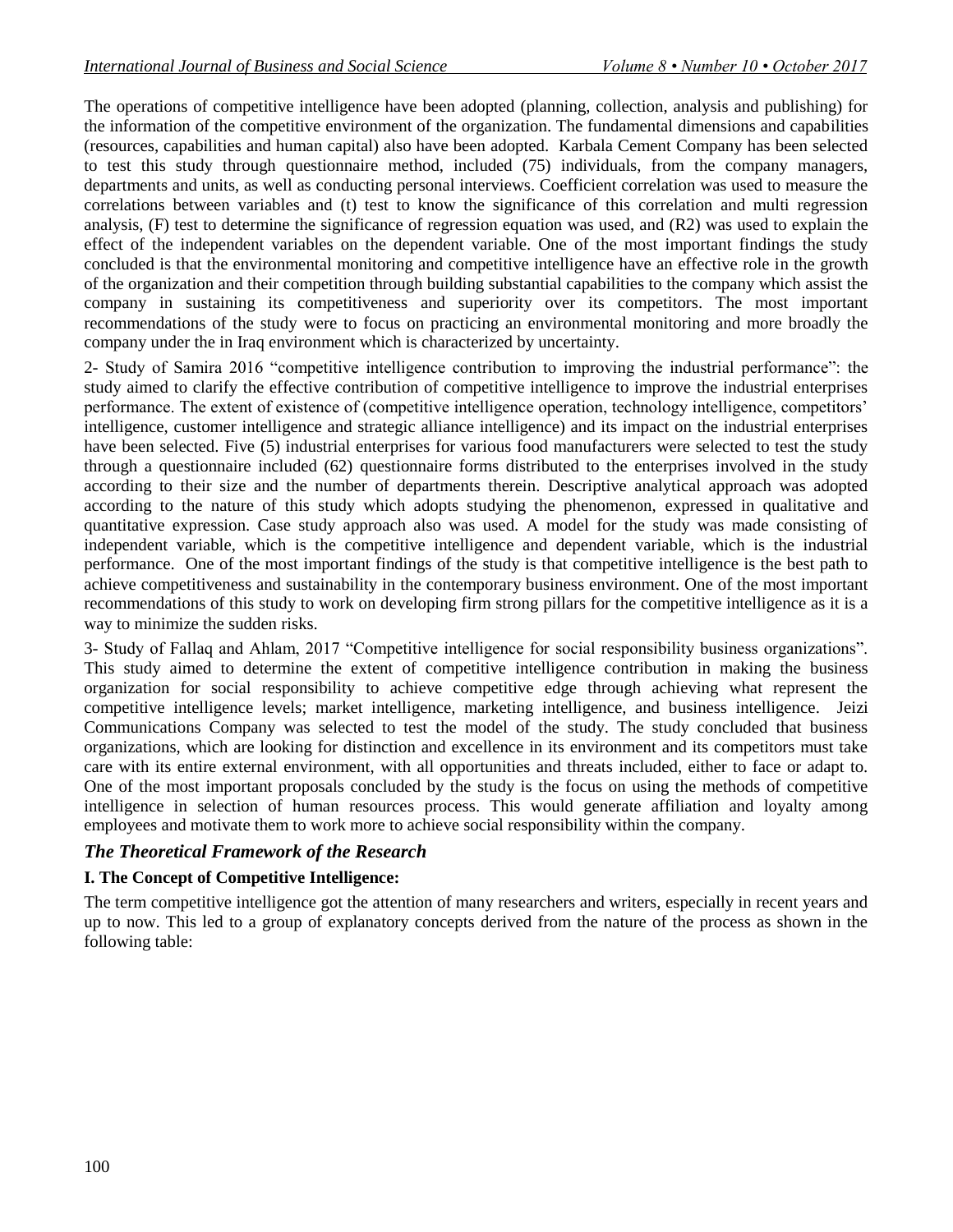The operations of competitive intelligence have been adopted (planning, collection, analysis and publishing) for the information of the competitive environment of the organization. The fundamental dimensions and capabilities (resources, capabilities and human capital) also have been adopted. Karbala Cement Company has been selected to test this study through questionnaire method, included (75) individuals, from the company managers, departments and units, as well as conducting personal interviews. Coefficient correlation was used to measure the correlations between variables and (t) test to know the significance of this correlation and multi regression analysis, (F) test to determine the significance of regression equation was used, and (R2) was used to explain the effect of the independent variables on the dependent variable. One of the most important findings the study concluded is that the environmental monitoring and competitive intelligence have an effective role in the growth of the organization and their competition through building substantial capabilities to the company which assist the company in sustaining its competitiveness and superiority over its competitors. The most important recommendations of the study were to focus on practicing an environmental monitoring and more broadly the company under the in Iraq environment which is characterized by uncertainty.

2- Study of Samira 2016 "competitive intelligence contribution to improving the industrial performance": the study aimed to clarify the effective contribution of competitive intelligence to improve the industrial enterprises performance. The extent of existence of (competitive intelligence operation, technology intelligence, competitors" intelligence, customer intelligence and strategic alliance intelligence) and its impact on the industrial enterprises have been selected. Five (5) industrial enterprises for various food manufacturers were selected to test the study through a questionnaire included (62) questionnaire forms distributed to the enterprises involved in the study according to their size and the number of departments therein. Descriptive analytical approach was adopted according to the nature of this study which adopts studying the phenomenon, expressed in qualitative and quantitative expression. Case study approach also was used. A model for the study was made consisting of independent variable, which is the competitive intelligence and dependent variable, which is the industrial performance. One of the most important findings of the study is that competitive intelligence is the best path to achieve competitiveness and sustainability in the contemporary business environment. One of the most important recommendations of this study to work on developing firm strong pillars for the competitive intelligence as it is a way to minimize the sudden risks.

3- Study of Fallaq and Ahlam, 2017 "Competitive intelligence for social responsibility business organizations". This study aimed to determine the extent of competitive intelligence contribution in making the business organization for social responsibility to achieve competitive edge through achieving what represent the competitive intelligence levels; market intelligence, marketing intelligence, and business intelligence. Jeizi Communications Company was selected to test the model of the study. The study concluded that business organizations, which are looking for distinction and excellence in its environment and its competitors must take care with its entire external environment, with all opportunities and threats included, either to face or adapt to. One of the most important proposals concluded by the study is the focus on using the methods of competitive intelligence in selection of human resources process. This would generate affiliation and loyalty among employees and motivate them to work more to achieve social responsibility within the company.

# *The Theoretical Framework of the Research*

### **I. The Concept of Competitive Intelligence:**

The term competitive intelligence got the attention of many researchers and writers, especially in recent years and up to now. This led to a group of explanatory concepts derived from the nature of the process as shown in the following table: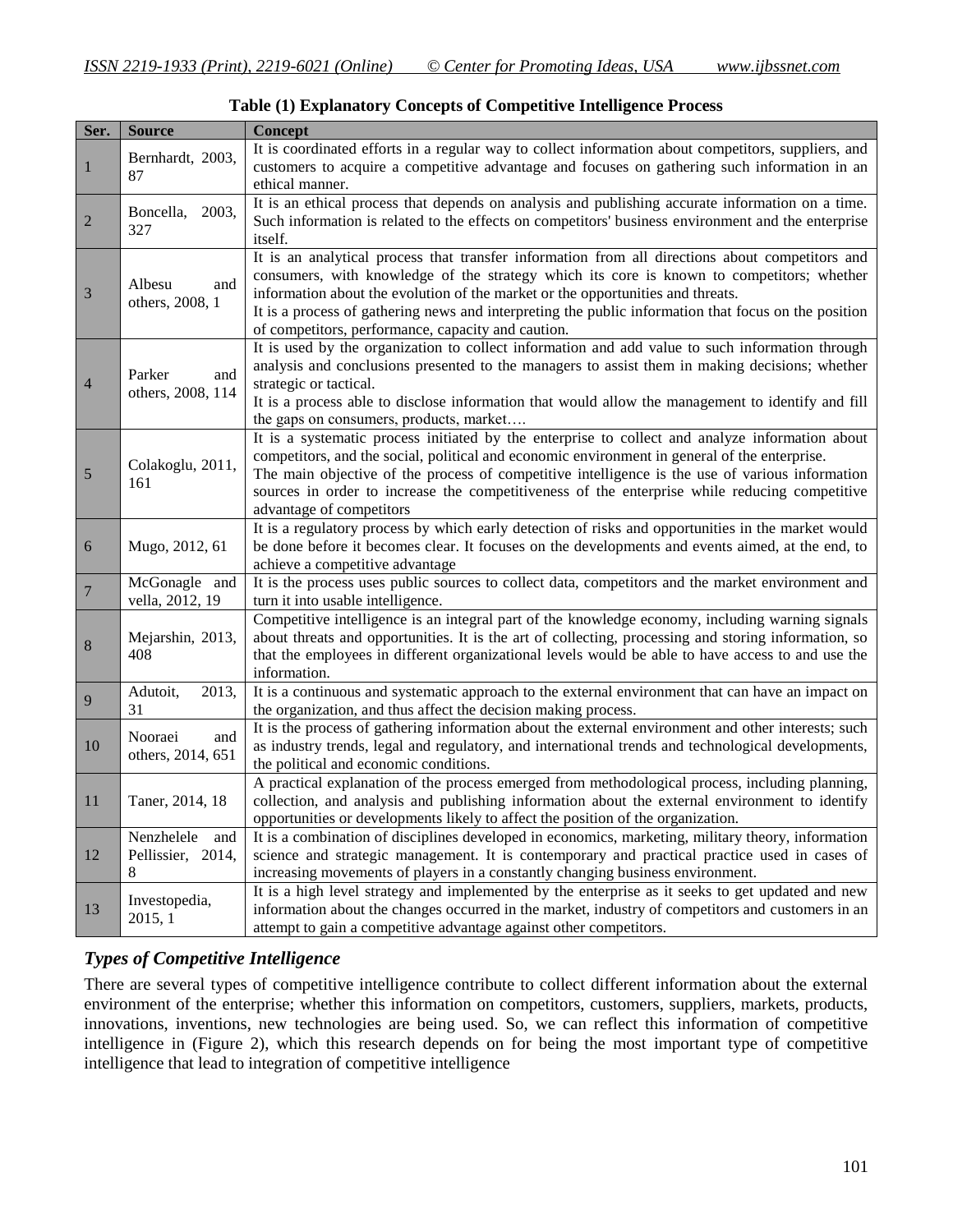| Ser.           | <b>Source</b>                            | <b>Concept</b>                                                                                                                                                                                                                                                                                                                                                                                                                                |
|----------------|------------------------------------------|-----------------------------------------------------------------------------------------------------------------------------------------------------------------------------------------------------------------------------------------------------------------------------------------------------------------------------------------------------------------------------------------------------------------------------------------------|
| $\mathbf{1}$   | Bernhardt, 2003,<br>87                   | It is coordinated efforts in a regular way to collect information about competitors, suppliers, and<br>customers to acquire a competitive advantage and focuses on gathering such information in an<br>ethical manner.                                                                                                                                                                                                                        |
| $\overline{2}$ | Boncella, 2003,<br>327                   | It is an ethical process that depends on analysis and publishing accurate information on a time.<br>Such information is related to the effects on competitors' business environment and the enterprise<br><i>itself.</i>                                                                                                                                                                                                                      |
| $\mathfrak{Z}$ | Albesu<br>and<br>others, 2008, 1         | It is an analytical process that transfer information from all directions about competitors and<br>consumers, with knowledge of the strategy which its core is known to competitors; whether<br>information about the evolution of the market or the opportunities and threats.<br>It is a process of gathering news and interpreting the public information that focus on the position<br>of competitors, performance, capacity and caution. |
| $\overline{4}$ | Parker<br>and<br>others, 2008, 114       | It is used by the organization to collect information and add value to such information through<br>analysis and conclusions presented to the managers to assist them in making decisions; whether<br>strategic or tactical.<br>It is a process able to disclose information that would allow the management to identify and fill<br>the gaps on consumers, products, market                                                                   |
| 5              | Colakoglu, 2011,<br>161                  | It is a systematic process initiated by the enterprise to collect and analyze information about<br>competitors, and the social, political and economic environment in general of the enterprise.<br>The main objective of the process of competitive intelligence is the use of various information<br>sources in order to increase the competitiveness of the enterprise while reducing competitive<br>advantage of competitors              |
| 6              | Mugo, 2012, 61                           | It is a regulatory process by which early detection of risks and opportunities in the market would<br>be done before it becomes clear. It focuses on the developments and events aimed, at the end, to<br>achieve a competitive advantage                                                                                                                                                                                                     |
| $\overline{7}$ | McGonagle and<br>vella, 2012, 19         | It is the process uses public sources to collect data, competitors and the market environment and<br>turn it into usable intelligence.                                                                                                                                                                                                                                                                                                        |
| $\,8\,$        | Mejarshin, 2013,<br>408                  | Competitive intelligence is an integral part of the knowledge economy, including warning signals<br>about threats and opportunities. It is the art of collecting, processing and storing information, so<br>that the employees in different organizational levels would be able to have access to and use the<br>information.                                                                                                                 |
| 9              | 2013,<br>Adutoit,<br>31                  | It is a continuous and systematic approach to the external environment that can have an impact on<br>the organization, and thus affect the decision making process.                                                                                                                                                                                                                                                                           |
| 10             | Nooraei<br>and<br>others, 2014, 651      | It is the process of gathering information about the external environment and other interests; such<br>as industry trends, legal and regulatory, and international trends and technological developments,<br>the political and economic conditions.                                                                                                                                                                                           |
| 11             | Taner, 2014, 18                          | A practical explanation of the process emerged from methodological process, including planning,<br>collection, and analysis and publishing information about the external environment to identify<br>opportunities or developments likely to affect the position of the organization.                                                                                                                                                         |
| 12             | Nenzhelele and<br>Pellissier, 2014,<br>8 | It is a combination of disciplines developed in economics, marketing, military theory, information<br>science and strategic management. It is contemporary and practical practice used in cases of<br>increasing movements of players in a constantly changing business environment.                                                                                                                                                          |
| 13             | Investopedia,<br>2015, 1                 | It is a high level strategy and implemented by the enterprise as it seeks to get updated and new<br>information about the changes occurred in the market, industry of competitors and customers in an<br>attempt to gain a competitive advantage against other competitors.                                                                                                                                                                   |

**Table (1) Explanatory Concepts of Competitive Intelligence Process**

### *Types of Competitive Intelligence*

There are several types of competitive intelligence contribute to collect different information about the external environment of the enterprise; whether this information on competitors, customers, suppliers, markets, products, innovations, inventions, new technologies are being used. So, we can reflect this information of competitive intelligence in (Figure 2), which this research depends on for being the most important type of competitive intelligence that lead to integration of competitive intelligence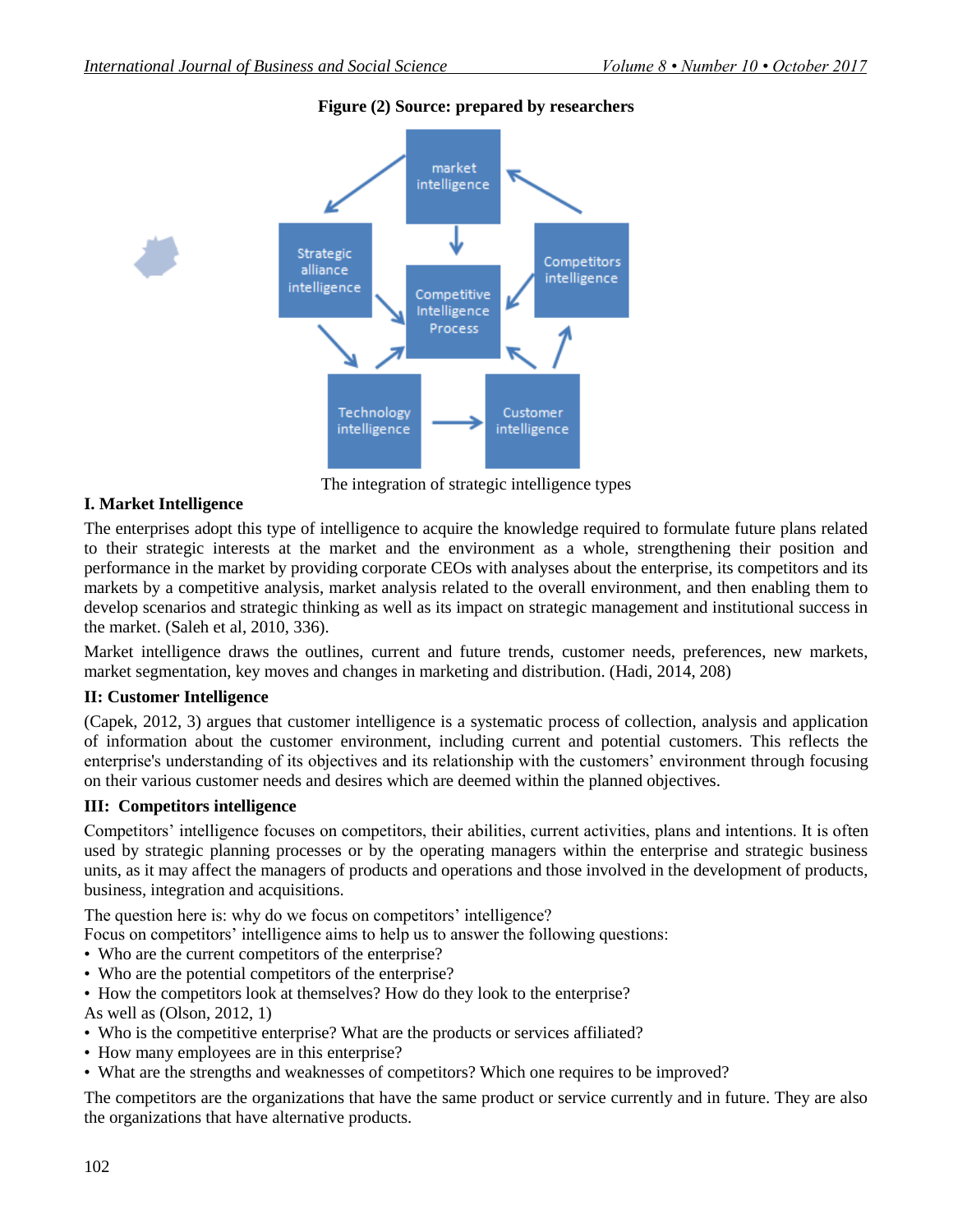

### **Figure (2) Source: prepared by researchers**

The integration of strategic intelligence types

### **I. Market Intelligence**

The enterprises adopt this type of intelligence to acquire the knowledge required to formulate future plans related to their strategic interests at the market and the environment as a whole, strengthening their position and performance in the market by providing corporate CEOs with analyses about the enterprise, its competitors and its markets by a competitive analysis, market analysis related to the overall environment, and then enabling them to develop scenarios and strategic thinking as well as its impact on strategic management and institutional success in the market. (Saleh et al, 2010, 336).

Market intelligence draws the outlines, current and future trends, customer needs, preferences, new markets, market segmentation, key moves and changes in marketing and distribution. (Hadi, 2014, 208)

### **II: Customer Intelligence**

(Capek, 2012, 3) argues that customer intelligence is a systematic process of collection, analysis and application of information about the customer environment, including current and potential customers. This reflects the enterprise's understanding of its objectives and its relationship with the customers' environment through focusing on their various customer needs and desires which are deemed within the planned objectives.

### **III: Competitors intelligence**

Competitors' intelligence focuses on competitors, their abilities, current activities, plans and intentions. It is often used by strategic planning processes or by the operating managers within the enterprise and strategic business units, as it may affect the managers of products and operations and those involved in the development of products, business, integration and acquisitions.

The question here is: why do we focus on competitors' intelligence?

Focus on competitors' intelligence aims to help us to answer the following questions:

- Who are the current competitors of the enterprise?
- Who are the potential competitors of the enterprise?
- How the competitors look at themselves? How do they look to the enterprise?

As well as (Olson, 2012, 1)

- Who is the competitive enterprise? What are the products or services affiliated?
- How many employees are in this enterprise?
- What are the strengths and weaknesses of competitors? Which one requires to be improved?

The competitors are the organizations that have the same product or service currently and in future. They are also the organizations that have alternative products.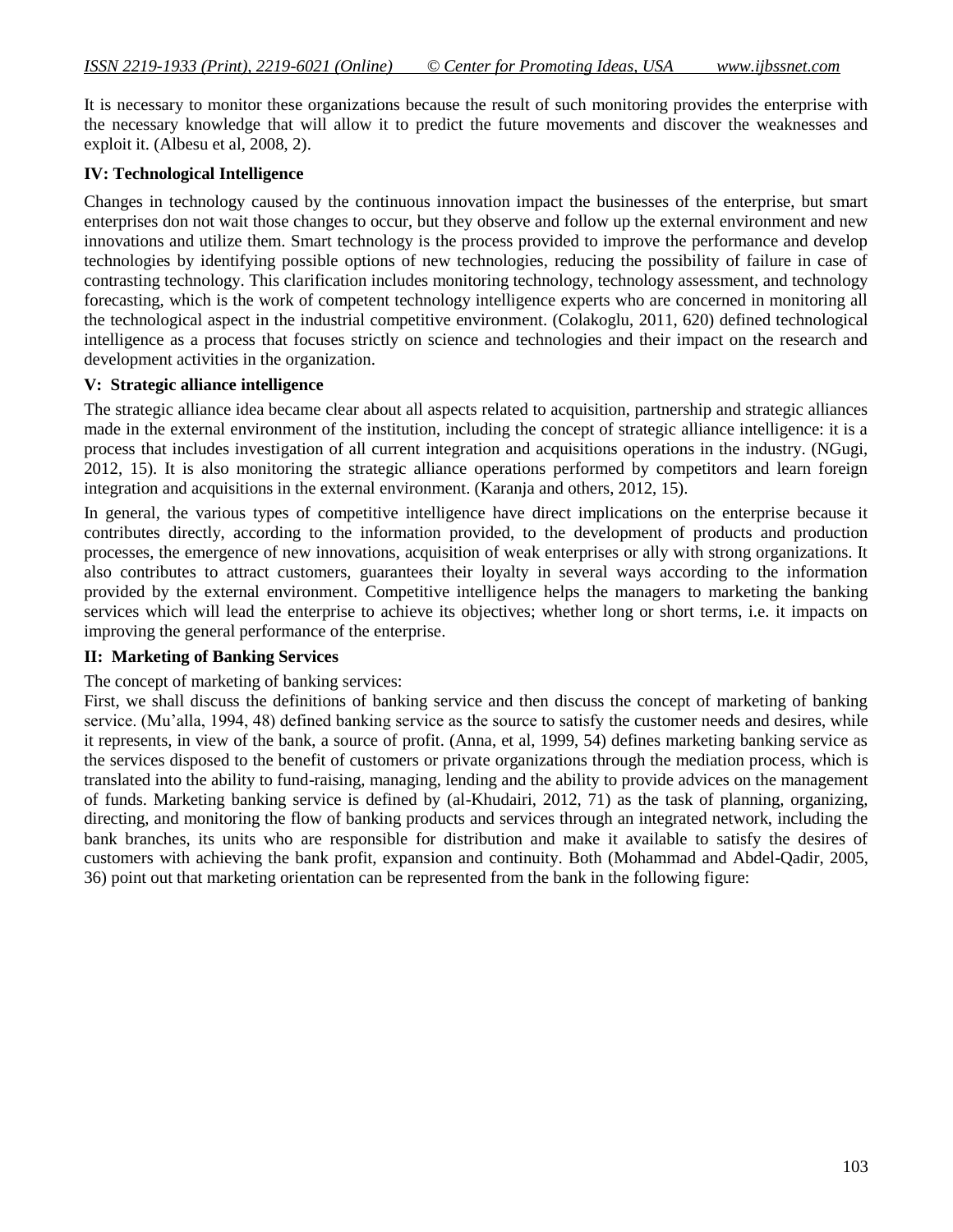It is necessary to monitor these organizations because the result of such monitoring provides the enterprise with the necessary knowledge that will allow it to predict the future movements and discover the weaknesses and exploit it. (Albesu et al, 2008, 2).

### **IV: Technological Intelligence**

Changes in technology caused by the continuous innovation impact the businesses of the enterprise, but smart enterprises don not wait those changes to occur, but they observe and follow up the external environment and new innovations and utilize them. Smart technology is the process provided to improve the performance and develop technologies by identifying possible options of new technologies, reducing the possibility of failure in case of contrasting technology. This clarification includes monitoring technology, technology assessment, and technology forecasting, which is the work of competent technology intelligence experts who are concerned in monitoring all the technological aspect in the industrial competitive environment. (Colakoglu, 2011, 620) defined technological intelligence as a process that focuses strictly on science and technologies and their impact on the research and development activities in the organization.

### **V: Strategic alliance intelligence**

The strategic alliance idea became clear about all aspects related to acquisition, partnership and strategic alliances made in the external environment of the institution, including the concept of strategic alliance intelligence: it is a process that includes investigation of all current integration and acquisitions operations in the industry. (NGugi, 2012, 15). It is also monitoring the strategic alliance operations performed by competitors and learn foreign integration and acquisitions in the external environment. (Karanja and others, 2012, 15).

In general, the various types of competitive intelligence have direct implications on the enterprise because it contributes directly, according to the information provided, to the development of products and production processes, the emergence of new innovations, acquisition of weak enterprises or ally with strong organizations. It also contributes to attract customers, guarantees their loyalty in several ways according to the information provided by the external environment. Competitive intelligence helps the managers to marketing the banking services which will lead the enterprise to achieve its objectives; whether long or short terms, i.e. it impacts on improving the general performance of the enterprise.

#### **II: Marketing of Banking Services**

#### The concept of marketing of banking services:

First, we shall discuss the definitions of banking service and then discuss the concept of marketing of banking service. (Mu"alla, 1994, 48) defined banking service as the source to satisfy the customer needs and desires, while it represents, in view of the bank, a source of profit. (Anna, et al, 1999, 54) defines marketing banking service as the services disposed to the benefit of customers or private organizations through the mediation process, which is translated into the ability to fund-raising, managing, lending and the ability to provide advices on the management of funds. Marketing banking service is defined by (al-Khudairi, 2012, 71) as the task of planning, organizing, directing, and monitoring the flow of banking products and services through an integrated network, including the bank branches, its units who are responsible for distribution and make it available to satisfy the desires of customers with achieving the bank profit, expansion and continuity. Both (Mohammad and Abdel-Qadir, 2005, 36) point out that marketing orientation can be represented from the bank in the following figure: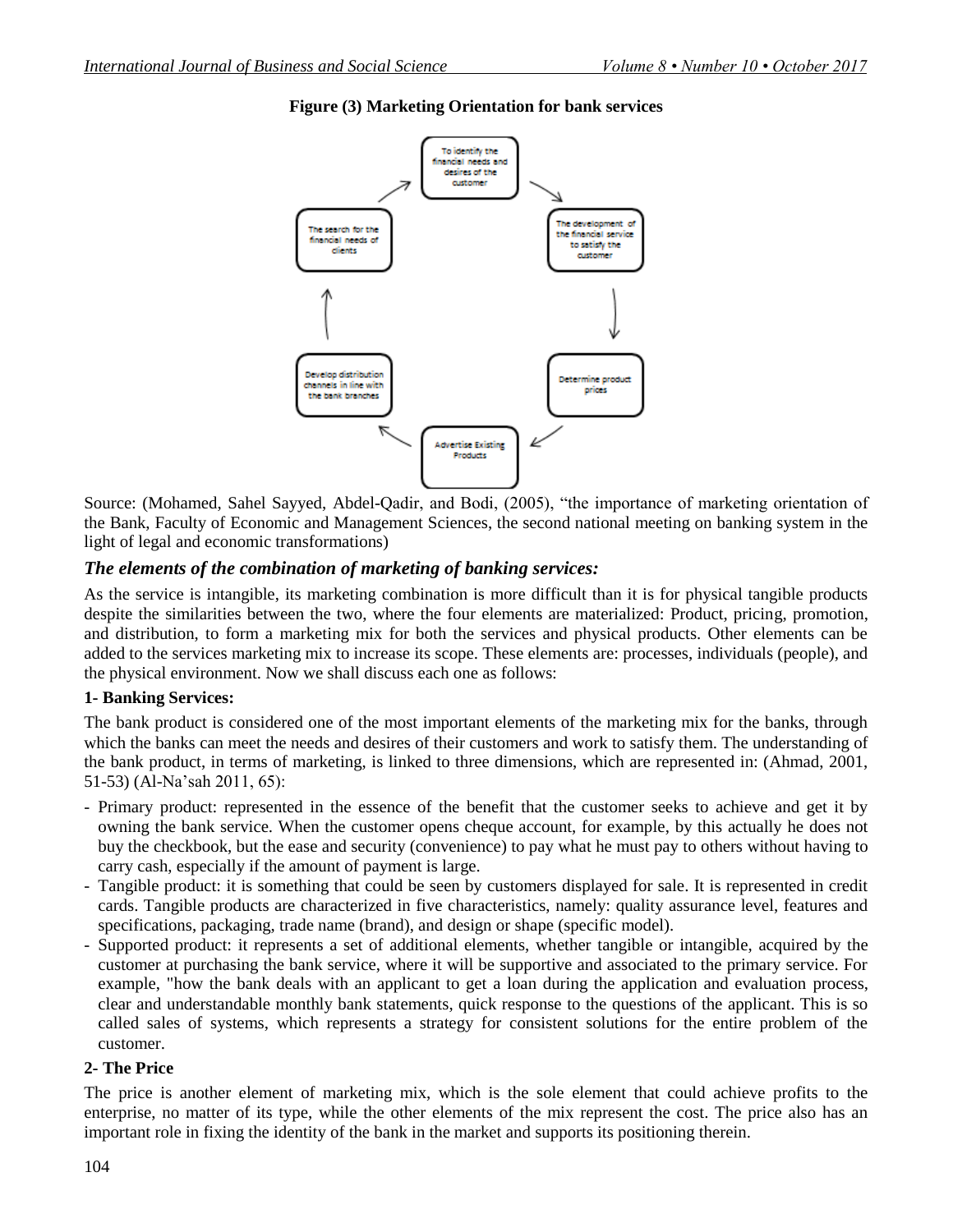

# **Figure (3) Marketing Orientation for bank services**

Source: (Mohamed, Sahel Sayyed, Abdel-Qadir, and Bodi, (2005), "the importance of marketing orientation of the Bank, Faculty of Economic and Management Sciences, the second national meeting on banking system in the light of legal and economic transformations)

# *The elements of the combination of marketing of banking services:*

As the service is intangible, its marketing combination is more difficult than it is for physical tangible products despite the similarities between the two, where the four elements are materialized: Product, pricing, promotion, and distribution, to form a marketing mix for both the services and physical products. Other elements can be added to the services marketing mix to increase its scope. These elements are: processes, individuals (people), and the physical environment. Now we shall discuss each one as follows:

### **1- Banking Services:**

The bank product is considered one of the most important elements of the marketing mix for the banks, through which the banks can meet the needs and desires of their customers and work to satisfy them. The understanding of the bank product, in terms of marketing, is linked to three dimensions, which are represented in: (Ahmad, 2001, 51-53) (Al-Na"sah 2011, 65):

- Primary product: represented in the essence of the benefit that the customer seeks to achieve and get it by owning the bank service. When the customer opens cheque account, for example, by this actually he does not buy the checkbook, but the ease and security (convenience) to pay what he must pay to others without having to carry cash, especially if the amount of payment is large.
- Tangible product: it is something that could be seen by customers displayed for sale. It is represented in credit cards. Tangible products are characterized in five characteristics, namely: quality assurance level, features and specifications, packaging, trade name (brand), and design or shape (specific model).
- Supported product: it represents a set of additional elements, whether tangible or intangible, acquired by the customer at purchasing the bank service, where it will be supportive and associated to the primary service. For example, "how the bank deals with an applicant to get a loan during the application and evaluation process, clear and understandable monthly bank statements, quick response to the questions of the applicant. This is so called sales of systems, which represents a strategy for consistent solutions for the entire problem of the customer.

### **2- The Price**

The price is another element of marketing mix, which is the sole element that could achieve profits to the enterprise, no matter of its type, while the other elements of the mix represent the cost. The price also has an important role in fixing the identity of the bank in the market and supports its positioning therein.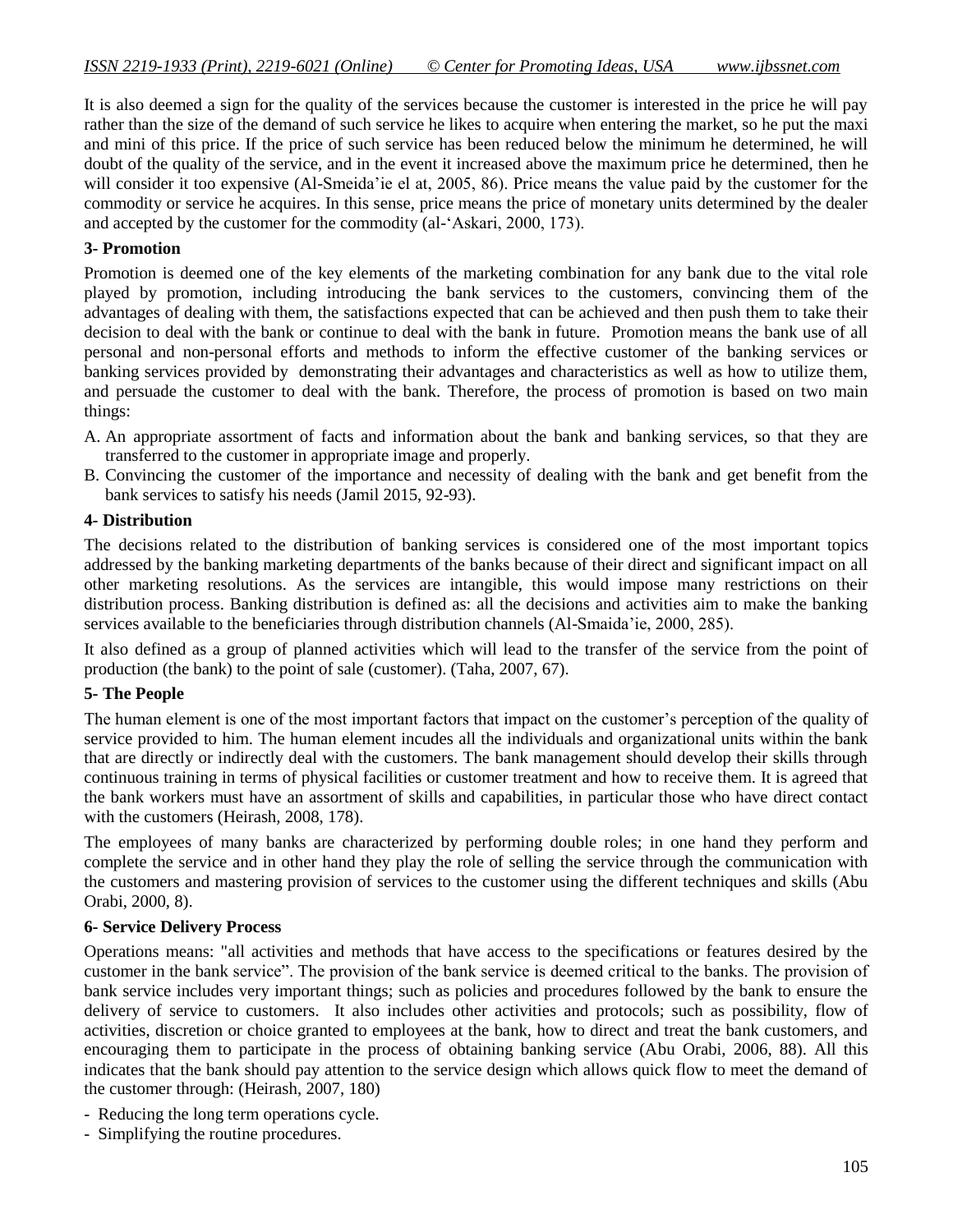It is also deemed a sign for the quality of the services because the customer is interested in the price he will pay rather than the size of the demand of such service he likes to acquire when entering the market, so he put the maxi and mini of this price. If the price of such service has been reduced below the minimum he determined, he will doubt of the quality of the service, and in the event it increased above the maximum price he determined, then he will consider it too expensive (Al-Smeida'ie el at, 2005, 86). Price means the value paid by the customer for the commodity or service he acquires. In this sense, price means the price of monetary units determined by the dealer and accepted by the customer for the commodity (al-"Askari, 2000, 173).

### **3- Promotion**

Promotion is deemed one of the key elements of the marketing combination for any bank due to the vital role played by promotion, including introducing the bank services to the customers, convincing them of the advantages of dealing with them, the satisfactions expected that can be achieved and then push them to take their decision to deal with the bank or continue to deal with the bank in future. Promotion means the bank use of all personal and non-personal efforts and methods to inform the effective customer of the banking services or banking services provided by demonstrating their advantages and characteristics as well as how to utilize them, and persuade the customer to deal with the bank. Therefore, the process of promotion is based on two main things:

- A. An appropriate assortment of facts and information about the bank and banking services, so that they are transferred to the customer in appropriate image and properly.
- B. Convincing the customer of the importance and necessity of dealing with the bank and get benefit from the bank services to satisfy his needs (Jamil 2015, 92-93).

### **4- Distribution**

The decisions related to the distribution of banking services is considered one of the most important topics addressed by the banking marketing departments of the banks because of their direct and significant impact on all other marketing resolutions. As the services are intangible, this would impose many restrictions on their distribution process. Banking distribution is defined as: all the decisions and activities aim to make the banking services available to the beneficiaries through distribution channels (Al-Smaida'ie, 2000, 285).

It also defined as a group of planned activities which will lead to the transfer of the service from the point of production (the bank) to the point of sale (customer). (Taha, 2007, 67).

#### **5- The People**

The human element is one of the most important factors that impact on the customer"s perception of the quality of service provided to him. The human element incudes all the individuals and organizational units within the bank that are directly or indirectly deal with the customers. The bank management should develop their skills through continuous training in terms of physical facilities or customer treatment and how to receive them. It is agreed that the bank workers must have an assortment of skills and capabilities, in particular those who have direct contact with the customers (Heirash, 2008, 178).

The employees of many banks are characterized by performing double roles; in one hand they perform and complete the service and in other hand they play the role of selling the service through the communication with the customers and mastering provision of services to the customer using the different techniques and skills (Abu Orabi, 2000, 8).

#### **6- Service Delivery Process**

Operations means: "all activities and methods that have access to the specifications or features desired by the customer in the bank service". The provision of the bank service is deemed critical to the banks. The provision of bank service includes very important things; such as policies and procedures followed by the bank to ensure the delivery of service to customers. It also includes other activities and protocols; such as possibility, flow of activities, discretion or choice granted to employees at the bank, how to direct and treat the bank customers, and encouraging them to participate in the process of obtaining banking service (Abu Orabi, 2006, 88). All this indicates that the bank should pay attention to the service design which allows quick flow to meet the demand of the customer through: (Heirash, 2007, 180)

- Reducing the long term operations cycle.
- Simplifying the routine procedures.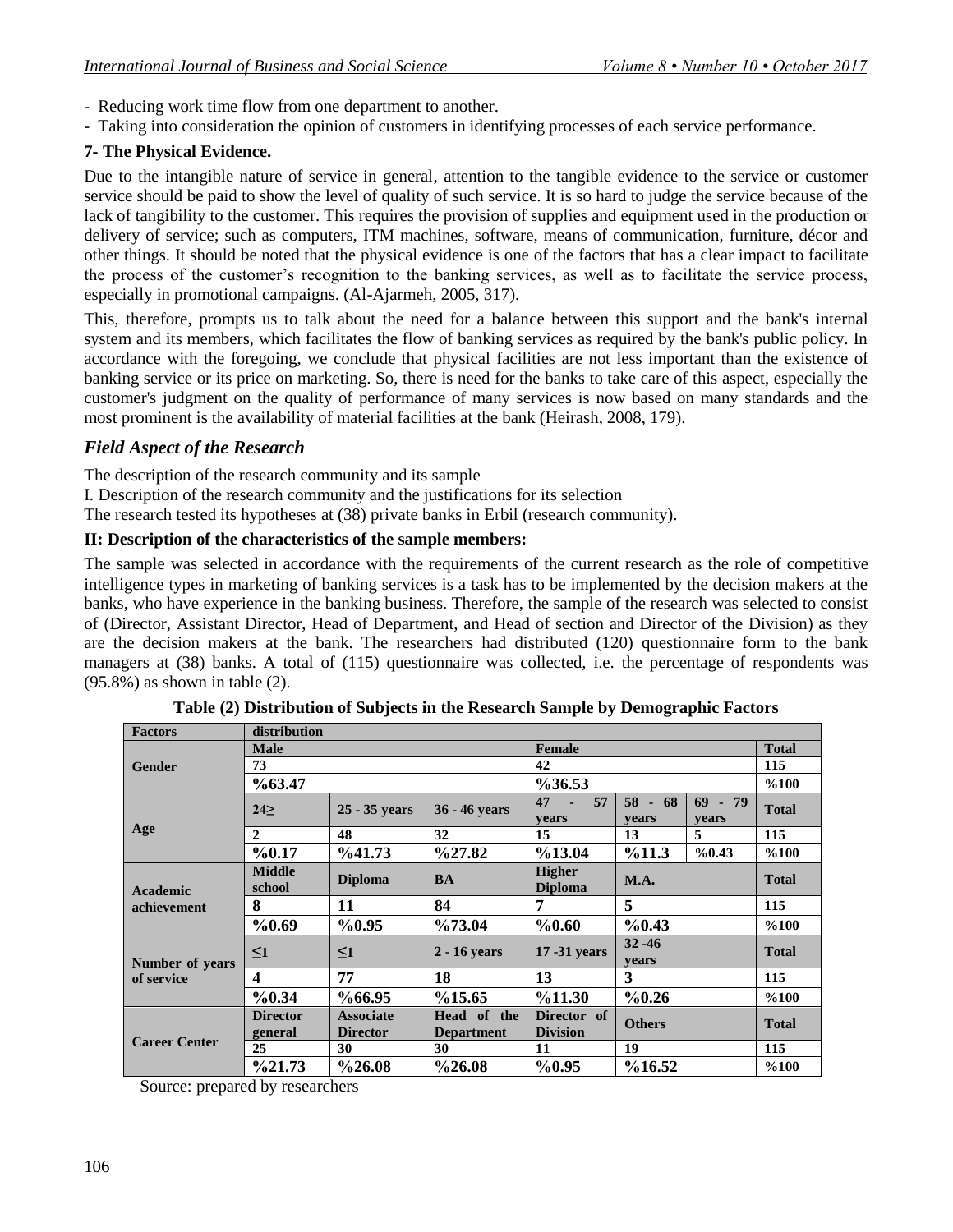- Reducing work time flow from one department to another.
- Taking into consideration the opinion of customers in identifying processes of each service performance.

# **7- The Physical Evidence.**

Due to the intangible nature of service in general, attention to the tangible evidence to the service or customer service should be paid to show the level of quality of such service. It is so hard to judge the service because of the lack of tangibility to the customer. This requires the provision of supplies and equipment used in the production or delivery of service; such as computers, ITM machines, software, means of communication, furniture, décor and other things. It should be noted that the physical evidence is one of the factors that has a clear impact to facilitate the process of the customer"s recognition to the banking services, as well as to facilitate the service process, especially in promotional campaigns. (Al-Ajarmeh, 2005, 317).

This, therefore, prompts us to talk about the need for a balance between this support and the bank's internal system and its members, which facilitates the flow of banking services as required by the bank's public policy. In accordance with the foregoing, we conclude that physical facilities are not less important than the existence of banking service or its price on marketing. So, there is need for the banks to take care of this aspect, especially the customer's judgment on the quality of performance of many services is now based on many standards and the most prominent is the availability of material facilities at the bank (Heirash, 2008, 179).

# *Field Aspect of the Research*

The description of the research community and its sample

I. Description of the research community and the justifications for its selection

The research tested its hypotheses at (38) private banks in Erbil (research community).

# **II: Description of the characteristics of the sample members:**

The sample was selected in accordance with the requirements of the current research as the role of competitive intelligence types in marketing of banking services is a task has to be implemented by the decision makers at the banks, who have experience in the banking business. Therefore, the sample of the research was selected to consist of (Director, Assistant Director, Head of Department, and Head of section and Director of the Division) as they are the decision makers at the bank. The researchers had distributed (120) questionnaire form to the bank managers at (38) banks. A total of (115) questionnaire was collected, i.e. the percentage of respondents was (95.8%) as shown in table (2).

| <b>Factors</b>         | distribution               |                                     |                                  |                                 |                             |                    |              |
|------------------------|----------------------------|-------------------------------------|----------------------------------|---------------------------------|-----------------------------|--------------------|--------------|
|                        | <b>Male</b>                |                                     |                                  | Female                          |                             |                    | <b>Total</b> |
| <b>Gender</b>          | 73                         |                                     |                                  | 42                              |                             |                    | 115          |
|                        | %63.47                     |                                     |                                  | $\%36.53$                       |                             |                    | %100         |
|                        | $24 \geq$                  | 25 - 35 years                       | 36 - 46 years                    | 57<br>47<br>vears               | 58<br>68<br>$\sim$<br>vears | $69 - 79$<br>vears | <b>Total</b> |
| Age                    | $\mathbf{2}$               | 48                                  | 32                               | 15                              | 13                          | 5                  | 115          |
|                        | %0.17                      | %41.73                              | $\frac{627.82}{ }$               | %13.04                          | %11.3                       | %0.43              | %100         |
| Academic               | <b>Middle</b><br>school    | <b>Diploma</b>                      | <b>BA</b>                        | <b>Higher</b><br><b>Diploma</b> | M.A.                        |                    | <b>Total</b> |
| achievement            | 8                          | 11                                  | 84                               | 7                               | 5                           |                    | 115          |
|                        | %0.69                      | %0.95                               | %73.04                           | %0.60                           | %0.43                       |                    | %100         |
| <b>Number of years</b> | $\leq1$                    | $\leq1$                             | $2 - 16$ vears                   | 17 -31 years                    | $32 - 46$<br>vears          |                    | <b>Total</b> |
| of service             | $\overline{\mathbf{4}}$    | 77                                  | 18                               | 13                              | 3                           |                    | 115          |
|                        | %0.34                      | %66.95                              | %15.65                           | %11.30                          | %0.26                       |                    | %100         |
|                        | <b>Director</b><br>general | <b>Associate</b><br><b>Director</b> | Head of the<br><b>Department</b> | Director of<br><b>Division</b>  | <b>Others</b>               |                    | <b>Total</b> |
| <b>Career Center</b>   | 25                         | 30                                  | 30                               | 11                              | 19                          | 115                |              |
|                        | %21.73                     | %26.08                              | $\%26.08$                        | %0.95                           | %16.52                      |                    | %100         |

**Table (2) Distribution of Subjects in the Research Sample by Demographic Factors**

Source: prepared by researchers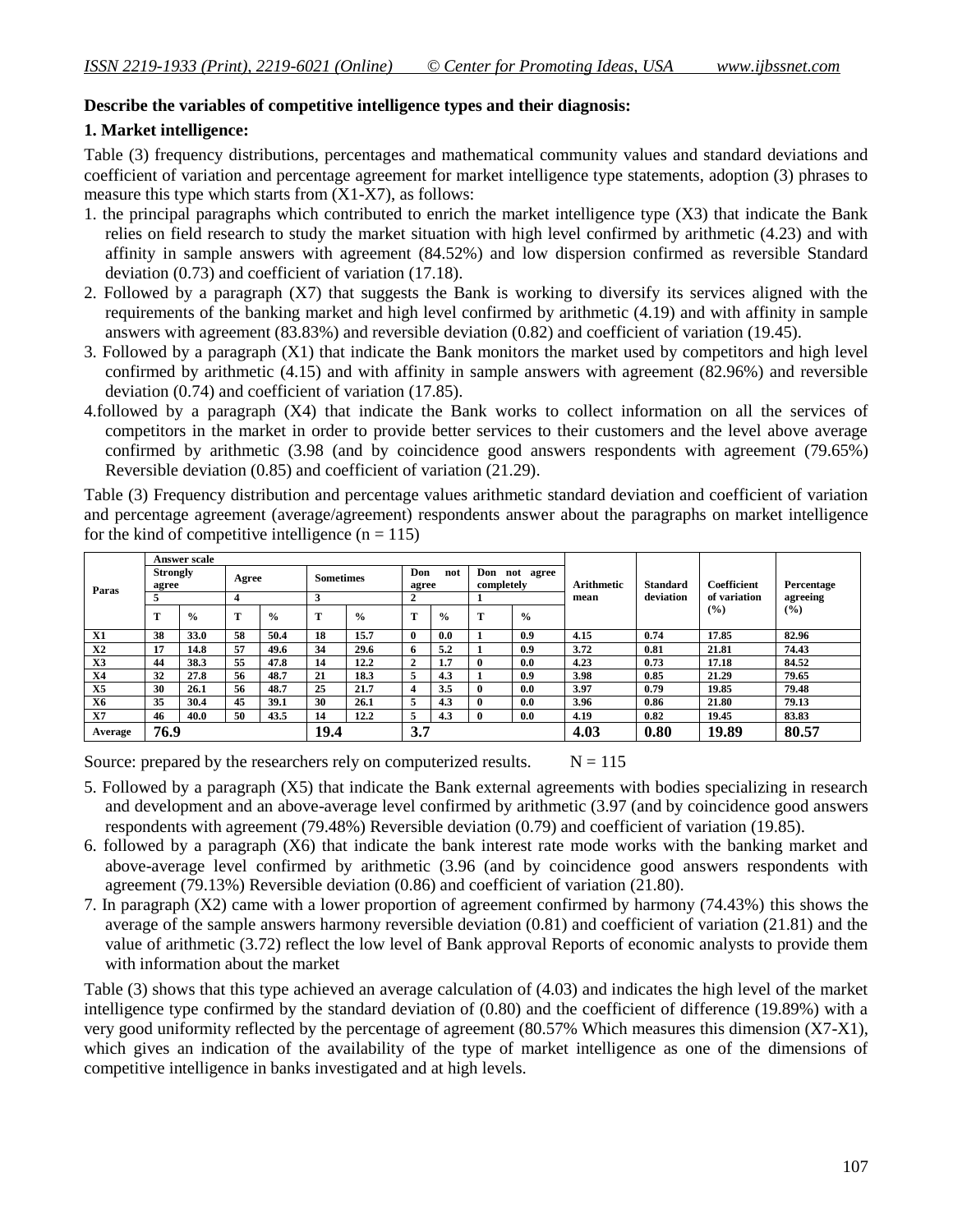### **Describe the variables of competitive intelligence types and their diagnosis:**

### **1. Market intelligence:**

Table (3) frequency distributions, percentages and mathematical community values and standard deviations and coefficient of variation and percentage agreement for market intelligence type statements, adoption (3) phrases to measure this type which starts from (X1-X7), as follows:

- 1. the principal paragraphs which contributed to enrich the market intelligence type (X3) that indicate the Bank relies on field research to study the market situation with high level confirmed by arithmetic (4.23) and with affinity in sample answers with agreement (84.52%) and low dispersion confirmed as reversible Standard deviation (0.73) and coefficient of variation (17.18).
- 2. Followed by a paragraph (X7) that suggests the Bank is working to diversify its services aligned with the requirements of the banking market and high level confirmed by arithmetic (4.19) and with affinity in sample answers with agreement (83.83%) and reversible deviation (0.82) and coefficient of variation (19.45).
- 3. Followed by a paragraph (X1) that indicate the Bank monitors the market used by competitors and high level confirmed by arithmetic (4.15) and with affinity in sample answers with agreement (82.96%) and reversible deviation (0.74) and coefficient of variation (17.85).
- 4.followed by a paragraph (X4) that indicate the Bank works to collect information on all the services of competitors in the market in order to provide better services to their customers and the level above average confirmed by arithmetic (3.98 (and by coincidence good answers respondents with agreement (79.65%) Reversible deviation (0.85) and coefficient of variation (21.29).

Table (3) Frequency distribution and percentage values arithmetic standard deviation and coefficient of variation and percentage agreement (average/agreement) respondents answer about the paragraphs on market intelligence for the kind of competitive intelligence  $(n = 115)$ 

|                |                          | <b>Answer scale</b> |                  |               |                  |               |                     |               |                             |             |                   |                 |              |            |
|----------------|--------------------------|---------------------|------------------|---------------|------------------|---------------|---------------------|---------------|-----------------------------|-------------|-------------------|-----------------|--------------|------------|
| Paras          | <b>Strongly</b><br>agree |                     | Agree            |               | <b>Sometimes</b> |               | Don<br>not<br>agree |               | Don not agree<br>completely |             | <b>Arithmetic</b> | <b>Standard</b> | Coefficient  | Percentage |
|                |                          |                     | $\boldsymbol{4}$ |               | 3                |               | 2                   |               | mean                        |             |                   | deviation       | of variation | agreeing   |
|                | m                        | $\frac{0}{0}$       | т                | $\frac{0}{0}$ | Т                | $\frac{0}{0}$ | m                   | $\frac{0}{0}$ | m                           | $^{0}/_{0}$ |                   |                 | $($ %)       | $(\%)$     |
| <b>X1</b>      | 38                       | 33.0                | 58               | 50.4          | 18               | 15.7          | $\mathbf{0}$        | 0.0           |                             | 0.9         | 4.15              | 0.74            | 17.85        | 82.96      |
| X <sub>2</sub> | 17                       | 14.8                | 57               | 49.6          | 34               | 29.6          | 6.                  | 5.2           |                             | 0.9         | 3.72              | 0.81            | 21.81        | 74.43      |
| X3             | 44                       | 38.3                | 55               | 47.8          | 14               | 12.2          | $\mathbf{2}$        | 1.7           | $\mathbf{0}$                | 0.0         | 4.23              | 0.73            | 17.18        | 84.52      |
| <b>X4</b>      | 32                       | 27.8                | 56               | 48.7          | 21               | 18.3          | 5                   | 4.3           |                             | 0.9         | 3.98              | 0.85            | 21.29        | 79.65      |
| X <sub>5</sub> | 30                       | 26.1                | 56               | 48.7          | 25               | 21.7          | 4                   | 3.5           | $\mathbf{0}$                | 0.0         | 3.97              | 0.79            | 19.85        | 79.48      |
| <b>X6</b>      | 35                       | 30.4                | 45               | 39.1          | 30               | 26.1          | 5                   | 4.3           | $\mathbf{0}$                | 0.0         | 3.96              | 0.86            | 21.80        | 79.13      |
| X7             | 46                       | 40.0                | 50               | 43.5          | 14               | 12.2          | 5                   | 4.3           | $\mathbf{0}$                | 0.0         | 4.19              | 0.82            | 19.45        | 83.83      |
| Average        | 76.9                     |                     |                  |               | 19.4             |               | 3.7                 |               |                             |             | 4.03              | 0.80            | 19.89        | 80.57      |

Source: prepared by the researchers rely on computerized results.  $N = 115$ 

- 5. Followed by a paragraph (X5) that indicate the Bank external agreements with bodies specializing in research and development and an above-average level confirmed by arithmetic (3.97 (and by coincidence good answers respondents with agreement (79.48%) Reversible deviation (0.79) and coefficient of variation (19.85).
- 6. followed by a paragraph (X6) that indicate the bank interest rate mode works with the banking market and above-average level confirmed by arithmetic (3.96 (and by coincidence good answers respondents with agreement (79.13%) Reversible deviation (0.86) and coefficient of variation (21.80).
- 7. In paragraph (X2) came with a lower proportion of agreement confirmed by harmony (74.43%) this shows the average of the sample answers harmony reversible deviation (0.81) and coefficient of variation (21.81) and the value of arithmetic (3.72) reflect the low level of Bank approval Reports of economic analysts to provide them with information about the market

Table (3) shows that this type achieved an average calculation of (4.03) and indicates the high level of the market intelligence type confirmed by the standard deviation of (0.80) and the coefficient of difference (19.89%) with a very good uniformity reflected by the percentage of agreement (80.57% Which measures this dimension (X7-X1), which gives an indication of the availability of the type of market intelligence as one of the dimensions of competitive intelligence in banks investigated and at high levels.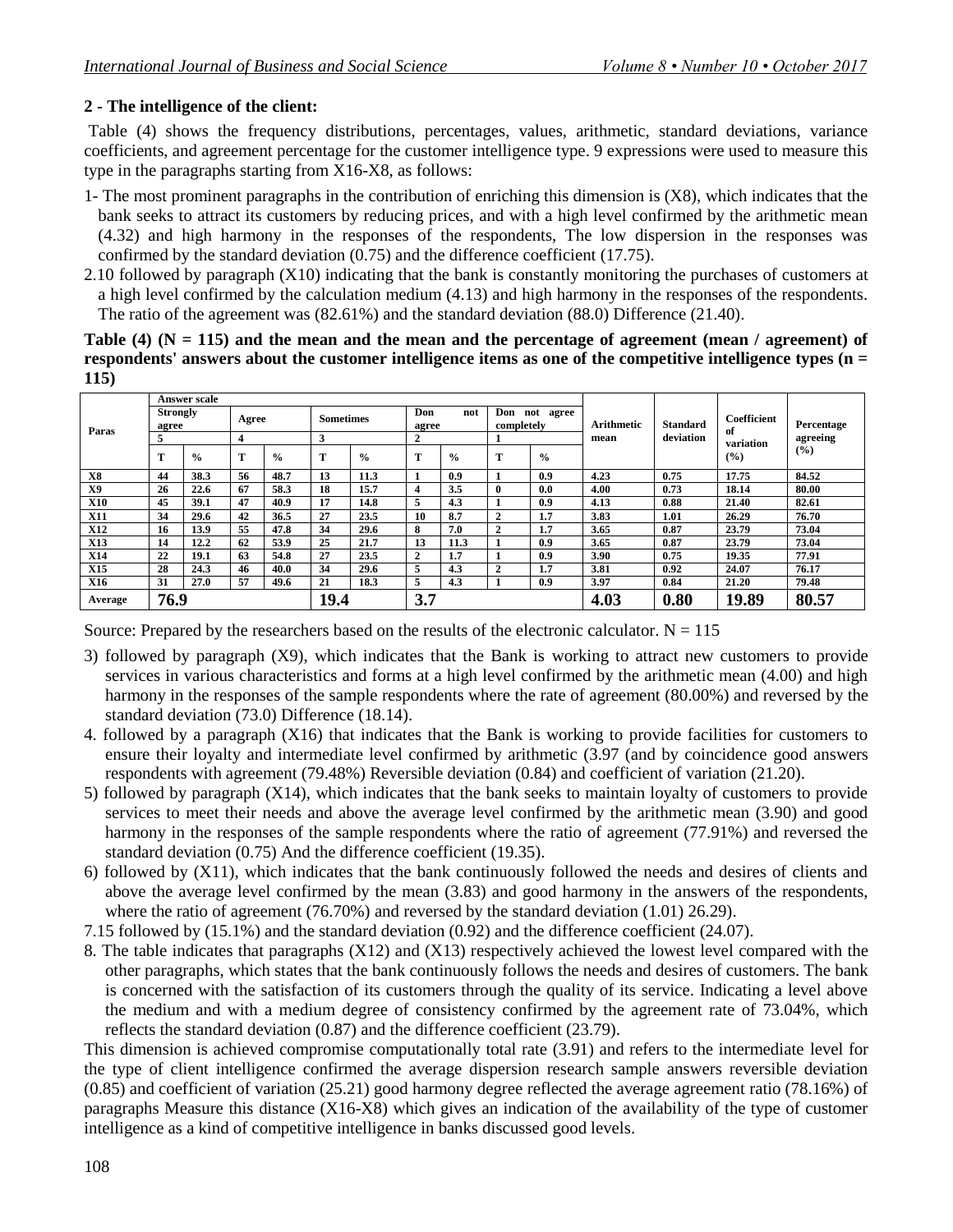# **2 - The intelligence of the client:**

Table (4) shows the frequency distributions, percentages, values, arithmetic, standard deviations, variance coefficients, and agreement percentage for the customer intelligence type. 9 expressions were used to measure this type in the paragraphs starting from X16-X8, as follows:

- 1- The most prominent paragraphs in the contribution of enriching this dimension is (X8), which indicates that the bank seeks to attract its customers by reducing prices, and with a high level confirmed by the arithmetic mean (4.32) and high harmony in the responses of the respondents, The low dispersion in the responses was confirmed by the standard deviation (0.75) and the difference coefficient (17.75).
- 2.10 followed by paragraph (X10) indicating that the bank is constantly monitoring the purchases of customers at a high level confirmed by the calculation medium (4.13) and high harmony in the responses of the respondents. The ratio of the agreement was (82.61%) and the standard deviation (88.0) Difference (21.40).

**Table (4) (N = 115) and the mean and the mean and the percentage of agreement (mean / agreement) of respondents' answers about the customer intelligence items as one of the competitive intelligence types (n = 115)**

|            |                          | Answer scale  |       |               |                  |               |                     |               |                   |               |                   |           |                   |            |
|------------|--------------------------|---------------|-------|---------------|------------------|---------------|---------------------|---------------|-------------------|---------------|-------------------|-----------|-------------------|------------|
| Paras      | <b>Strongly</b><br>agree |               | Agree |               | <b>Sometimes</b> |               | Don<br>not<br>agree |               | Don<br>completely | not<br>agree  | <b>Arithmetic</b> | Standard  | Coefficient<br>of | Percentage |
|            |                          |               | 4     |               | 3                |               | 2                   |               |                   |               | mean              | deviation | variation         | agreeing   |
|            | m                        | $\frac{6}{9}$ | m     | $\frac{6}{9}$ | т                | $\frac{6}{6}$ | m                   | $\frac{0}{0}$ | m                 | $\frac{6}{6}$ |                   |           | (%)               | (%)        |
| X8         | 44                       | 38.3          | 56    | 48.7          | 13               | 11.3          |                     | 0.9           |                   | 0.9           | 4.23              | 0.75      | 17.75             | 84.52      |
| X9         | 26                       | 22.6          | 67    | 58.3          | 18               | 15.7          | 4                   | 3.5           | 0                 | 0.0           | 4.00              | 0.73      | 18.14             | 80.00      |
| <b>X10</b> | 45                       | 39.1          | 47    | 40.9          | 17               | 14.8          | 5                   | 4.3           |                   | 0.9           | 4.13              | 0.88      | 21.40             | 82.61      |
| <b>X11</b> | 34                       | 29.6          | 42    | 36.5          | 27               | 23.5          | 10                  | 8.7           | 2                 | 1.7           | 3.83              | 1.01      | 26.29             | 76.70      |
| <b>X12</b> | 16                       | 13.9          | 55    | 47.8          | 34               | 29.6          | 8                   | 7.0           | 2                 | 1.7           | 3.65              | 0.87      | 23.79             | 73.04      |
| <b>X13</b> | 14                       | 12.2          | 62    | 53.9          | 25               | 21.7          | 13                  | 11.3          |                   | 0.9           | 3.65              | 0.87      | 23.79             | 73.04      |
| <b>X14</b> | 22                       | 19.1          | 63    | 54.8          | 27               | 23.5          | $\mathbf{2}$        | 1.7           |                   | 0.9           | 3.90              | 0.75      | 19.35             | 77.91      |
| X15        | 28                       | 24.3          | 46    | 40.0          | 34               | 29.6          | 5                   | 4.3           | 2                 | 1.7           | 3.81              | 0.92      | 24.07             | 76.17      |
| <b>X16</b> | 31                       | 27.0          | 57    | 49.6          | 21               | 18.3          | -<br>$\mathcal{D}$  | 4.3           |                   | 0.9           | 3.97              | 0.84      | 21.20             | 79.48      |
| Average    | 76.9                     |               |       |               | 19.4             |               | 3.7                 |               |                   |               | 4.03              | 0.80      | 19.89             | 80.57      |

Source: Prepared by the researchers based on the results of the electronic calculator.  $N = 115$ 

- 3) followed by paragraph (X9), which indicates that the Bank is working to attract new customers to provide services in various characteristics and forms at a high level confirmed by the arithmetic mean (4.00) and high harmony in the responses of the sample respondents where the rate of agreement (80.00%) and reversed by the standard deviation (73.0) Difference (18.14).
- 4. followed by a paragraph (X16) that indicates that the Bank is working to provide facilities for customers to ensure their loyalty and intermediate level confirmed by arithmetic (3.97 (and by coincidence good answers respondents with agreement (79.48%) Reversible deviation (0.84) and coefficient of variation (21.20).
- 5) followed by paragraph (X14), which indicates that the bank seeks to maintain loyalty of customers to provide services to meet their needs and above the average level confirmed by the arithmetic mean (3.90) and good harmony in the responses of the sample respondents where the ratio of agreement (77.91%) and reversed the standard deviation (0.75) And the difference coefficient (19.35).
- 6) followed by (X11), which indicates that the bank continuously followed the needs and desires of clients and above the average level confirmed by the mean (3.83) and good harmony in the answers of the respondents, where the ratio of agreement (76.70%) and reversed by the standard deviation (1.01) 26.29).
- 7.15 followed by (15.1%) and the standard deviation (0.92) and the difference coefficient (24.07).
- 8. The table indicates that paragraphs (X12) and (X13) respectively achieved the lowest level compared with the other paragraphs, which states that the bank continuously follows the needs and desires of customers. The bank is concerned with the satisfaction of its customers through the quality of its service. Indicating a level above the medium and with a medium degree of consistency confirmed by the agreement rate of 73.04%, which reflects the standard deviation (0.87) and the difference coefficient (23.79).

This dimension is achieved compromise computationally total rate (3.91) and refers to the intermediate level for the type of client intelligence confirmed the average dispersion research sample answers reversible deviation (0.85) and coefficient of variation (25.21) good harmony degree reflected the average agreement ratio (78.16%) of paragraphs Measure this distance (X16-X8) which gives an indication of the availability of the type of customer intelligence as a kind of competitive intelligence in banks discussed good levels.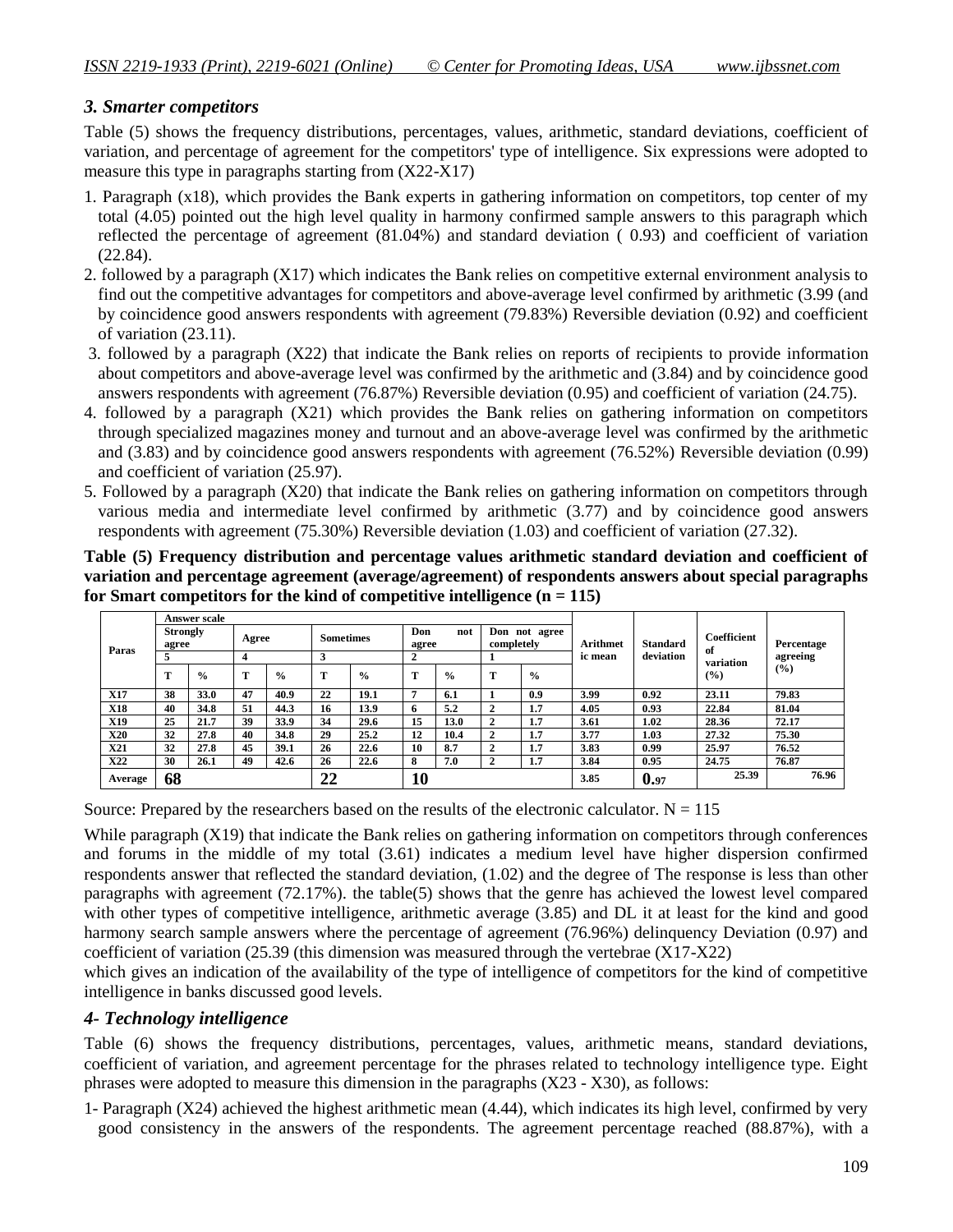# *3. Smarter competitors*

Table (5) shows the frequency distributions, percentages, values, arithmetic, standard deviations, coefficient of variation, and percentage of agreement for the competitors' type of intelligence. Six expressions were adopted to measure this type in paragraphs starting from (X22-X17)

- 1. Paragraph (x18), which provides the Bank experts in gathering information on competitors, top center of my total (4.05) pointed out the high level quality in harmony confirmed sample answers to this paragraph which reflected the percentage of agreement (81.04%) and standard deviation ( 0.93) and coefficient of variation (22.84).
- 2. followed by a paragraph (X17) which indicates the Bank relies on competitive external environment analysis to find out the competitive advantages for competitors and above-average level confirmed by arithmetic (3.99 (and by coincidence good answers respondents with agreement (79.83%) Reversible deviation (0.92) and coefficient of variation (23.11).
- 3. followed by a paragraph (X22) that indicate the Bank relies on reports of recipients to provide information about competitors and above-average level was confirmed by the arithmetic and (3.84) and by coincidence good answers respondents with agreement (76.87%) Reversible deviation (0.95) and coefficient of variation (24.75).
- 4. followed by a paragraph (X21) which provides the Bank relies on gathering information on competitors through specialized magazines money and turnout and an above-average level was confirmed by the arithmetic and (3.83) and by coincidence good answers respondents with agreement (76.52%) Reversible deviation (0.99) and coefficient of variation (25.97).
- 5. Followed by a paragraph (X20) that indicate the Bank relies on gathering information on competitors through various media and intermediate level confirmed by arithmetic (3.77) and by coincidence good answers respondents with agreement (75.30%) Reversible deviation (1.03) and coefficient of variation (27.32).

**Table (5) Frequency distribution and percentage values arithmetic standard deviation and coefficient of variation and percentage agreement (average/agreement) of respondents answers about special paragraphs**  for Smart competitors for the kind of competitive intelligence  $(n = 115)$ 

|            |                          | Answer scale  |                         |             |                  |               |                     |               |                |               |          |                 |                   |            |
|------------|--------------------------|---------------|-------------------------|-------------|------------------|---------------|---------------------|---------------|----------------|---------------|----------|-----------------|-------------------|------------|
| Paras      | <b>Strongly</b><br>agree |               | Agree                   |             | <b>Sometimes</b> |               | Don<br>not<br>agree |               | completely     | Don not agree | Arithmet | <b>Standard</b> | Coefficient<br>of | Percentage |
|            |                          |               | $\overline{\mathbf{4}}$ |             | 3                |               | 2                   |               |                |               | ic mean  | deviation       | variation         | agreeing   |
|            | m                        | $\frac{0}{0}$ | т                       | $^{0}/_{0}$ | m                | $\frac{6}{6}$ | т                   | $\frac{6}{9}$ | m              | $\frac{6}{6}$ |          |                 | $($ %)            | (9/6)      |
| <b>X17</b> | 38                       | 33.0          | 47                      | 40.9        | 22               | 19.1          | 7                   | 6.1           |                | 0.9           | 3.99     | 0.92            | 23.11             | 79.83      |
| <b>X18</b> | 40                       | 34.8          | 51                      | 44.3        | 16               | 13.9          | 6                   | 5.2           | $\overline{2}$ | 1.7           | 4.05     | 0.93            | 22.84             | 81.04      |
| X19        | 25                       | 21.7          | 39                      | 33.9        | 34               | 29.6          | 15                  | 13.0          | 2              | 1.7           | 3.61     | 1.02            | 28.36             | 72.17      |
| <b>X20</b> | 32                       | 27.8          | 40                      | 34.8        | 29               | 25.2          | 12                  | 10.4          | 2              | 1.7           | 3.77     | 1.03            | 27.32             | 75.30      |
| <b>X21</b> | 32                       | 27.8          | 45                      | 39.1        | 26               | 22.6          | 10                  | 8.7           | 2              | 1.7           | 3.83     | 0.99            | 25.97             | 76.52      |
| X22        | 30                       | 26.1          | 49                      | 42.6        | 26               | 22.6          | 8                   | 7.0           | 2              | 1.7           | 3.84     | 0.95            | 24.75             | 76.87      |
| Average    | 68                       |               |                         |             | 22               |               | 10                  |               |                |               | 3.85     | 0.97            | 25.39             | 76.96      |

Source: Prepared by the researchers based on the results of the electronic calculator.  $N = 115$ 

While paragraph (X19) that indicate the Bank relies on gathering information on competitors through conferences and forums in the middle of my total (3.61) indicates a medium level have higher dispersion confirmed respondents answer that reflected the standard deviation, (1.02) and the degree of The response is less than other paragraphs with agreement (72.17%). the table(5) shows that the genre has achieved the lowest level compared with other types of competitive intelligence, arithmetic average (3.85) and DL it at least for the kind and good harmony search sample answers where the percentage of agreement (76.96%) delinquency Deviation (0.97) and coefficient of variation (25.39 (this dimension was measured through the vertebrae (X17-X22)

which gives an indication of the availability of the type of intelligence of competitors for the kind of competitive intelligence in banks discussed good levels.

# *4- Technology intelligence*

Table (6) shows the frequency distributions, percentages, values, arithmetic means, standard deviations, coefficient of variation, and agreement percentage for the phrases related to technology intelligence type. Eight phrases were adopted to measure this dimension in the paragraphs (X23 - X30), as follows:

1- Paragraph (X24) achieved the highest arithmetic mean (4.44), which indicates its high level, confirmed by very good consistency in the answers of the respondents. The agreement percentage reached (88.87%), with a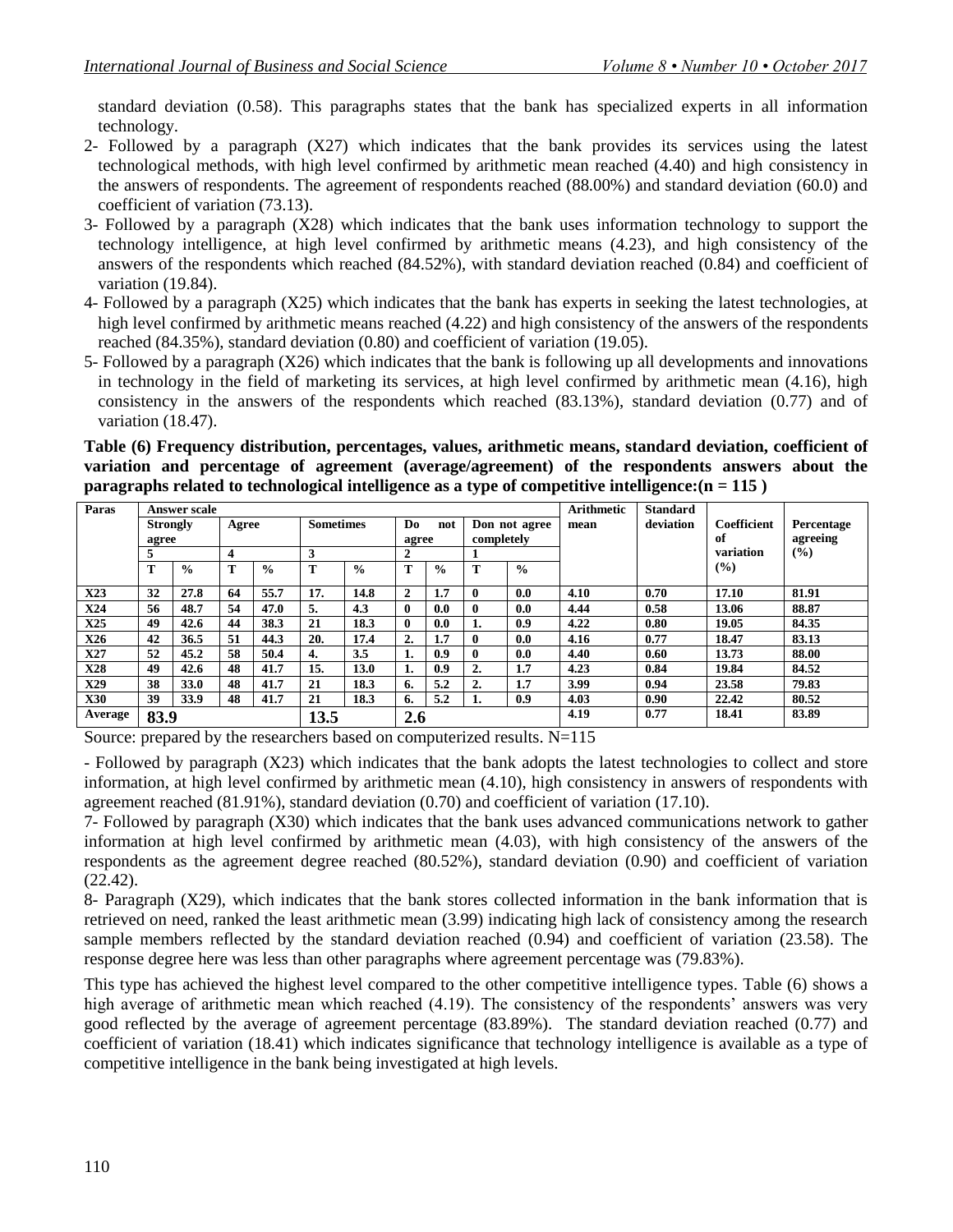standard deviation (0.58). This paragraphs states that the bank has specialized experts in all information technology.

- 2- Followed by a paragraph (X27) which indicates that the bank provides its services using the latest technological methods, with high level confirmed by arithmetic mean reached (4.40) and high consistency in the answers of respondents. The agreement of respondents reached (88.00%) and standard deviation (60.0) and coefficient of variation (73.13).
- 3- Followed by a paragraph (X28) which indicates that the bank uses information technology to support the technology intelligence, at high level confirmed by arithmetic means (4.23), and high consistency of the answers of the respondents which reached (84.52%), with standard deviation reached (0.84) and coefficient of variation (19.84).
- 4- Followed by a paragraph (X25) which indicates that the bank has experts in seeking the latest technologies, at high level confirmed by arithmetic means reached (4.22) and high consistency of the answers of the respondents reached (84.35%), standard deviation (0.80) and coefficient of variation (19.05).
- 5- Followed by a paragraph (X26) which indicates that the bank is following up all developments and innovations in technology in the field of marketing its services, at high level confirmed by arithmetic mean (4.16), high consistency in the answers of the respondents which reached (83.13%), standard deviation (0.77) and of variation (18.47).

**Table (6) Frequency distribution, percentages, values, arithmetic means, standard deviation, coefficient of variation and percentage of agreement (average/agreement) of the respondents answers about the paragraphs related to technological intelligence as a type of competitive intelligence:(n = 115 )**

| Paras      |                 | <b>Answer scale</b> |       |               |                  |               |                     |               |                |               | <b>Arithmetic</b> | <b>Standard</b> |                    |               |
|------------|-----------------|---------------------|-------|---------------|------------------|---------------|---------------------|---------------|----------------|---------------|-------------------|-----------------|--------------------|---------------|
|            | <b>Strongly</b> |                     | Agree |               | <b>Sometimes</b> |               | D <sub>0</sub>      | not           |                | Don not agree | mean              | deviation       | <b>Coefficient</b> | Percentage    |
|            | agree           |                     |       |               |                  |               | completely<br>agree |               |                |               |                   |                 | of                 | agreeing      |
|            |                 |                     | 4     |               | 3                |               | $\overline{2}$      |               |                |               |                   |                 | variation          | $\frac{9}{6}$ |
|            | т               | $\frac{0}{0}$       | т     | $\frac{0}{0}$ | Т                | $\frac{0}{0}$ | т                   | $\frac{0}{0}$ | т              | $\frac{0}{0}$ |                   |                 | $\frac{9}{6}$      |               |
| X23        | 32              | 27.8                | 64    | 55.7          | 17.              | 14.8          | $\mathbf{2}$        | 1.7           | $\mathbf{0}$   | 0.0           | 4.10              | 0.70            | 17.10              | 81.91         |
| X24        | 56              | 48.7                | 54    | 47.0          | 5.               | 4.3           | $\mathbf{0}$        | 0.0           | $\mathbf{0}$   | 0.0           | 4.44              | 0.58            | 13.06              | 88.87         |
| X25        | 49              | 42.6                | 44    | 38.3          | 21               | 18.3          | $\mathbf{0}$        | 0.0           | 1.             | 0.9           | 4.22              | 0.80            | 19.05              | 84.35         |
| <b>X26</b> | 42              | 36.5                | 51    | 44.3          | 20.              | 17.4          | 2.                  | 1.7           | $\mathbf{0}$   | 0.0           | 4.16              | 0.77            | 18.47              | 83.13         |
| <b>X27</b> | 52              | 45.2                | 58    | 50.4          | 4.               | 3.5           | 1.                  | 0.9           | $\mathbf{0}$   | 0.0           | 4.40              | 0.60            | 13.73              | 88.00         |
| X28        | 49              | 42.6                | 48    | 41.7          | 15.              | 13.0          | 1.                  | 0.9           | $\overline{2}$ | 1.7           | 4.23              | 0.84            | 19.84              | 84.52         |
| X29        | 38              | 33.0                | 48    | 41.7          | 21               | 18.3          | 6.                  | 5.2           | 2.             | 1.7           | 3.99              | 0.94            | 23.58              | 79.83         |
| <b>X30</b> | 39              | 33.9                | 48    | 41.7          | 21               | 18.3          | 6.                  | 5.2           | 1.             | 0.9           | 4.03              | 0.90            | 22.42              | 80.52         |
| Average    | 83.9            |                     |       |               | 13.5             |               | 2.6                 |               |                |               | 4.19              | 0.77            | 18.41              | 83.89         |

Source: prepared by the researchers based on computerized results. N=115

- Followed by paragraph (X23) which indicates that the bank adopts the latest technologies to collect and store information, at high level confirmed by arithmetic mean (4.10), high consistency in answers of respondents with agreement reached (81.91%), standard deviation (0.70) and coefficient of variation (17.10).

7- Followed by paragraph (X30) which indicates that the bank uses advanced communications network to gather information at high level confirmed by arithmetic mean (4.03), with high consistency of the answers of the respondents as the agreement degree reached (80.52%), standard deviation (0.90) and coefficient of variation (22.42).

8- Paragraph (X29), which indicates that the bank stores collected information in the bank information that is retrieved on need, ranked the least arithmetic mean (3.99) indicating high lack of consistency among the research sample members reflected by the standard deviation reached (0.94) and coefficient of variation (23.58). The response degree here was less than other paragraphs where agreement percentage was (79.83%).

This type has achieved the highest level compared to the other competitive intelligence types. Table (6) shows a high average of arithmetic mean which reached (4.19). The consistency of the respondents' answers was very good reflected by the average of agreement percentage (83.89%). The standard deviation reached (0.77) and coefficient of variation (18.41) which indicates significance that technology intelligence is available as a type of competitive intelligence in the bank being investigated at high levels.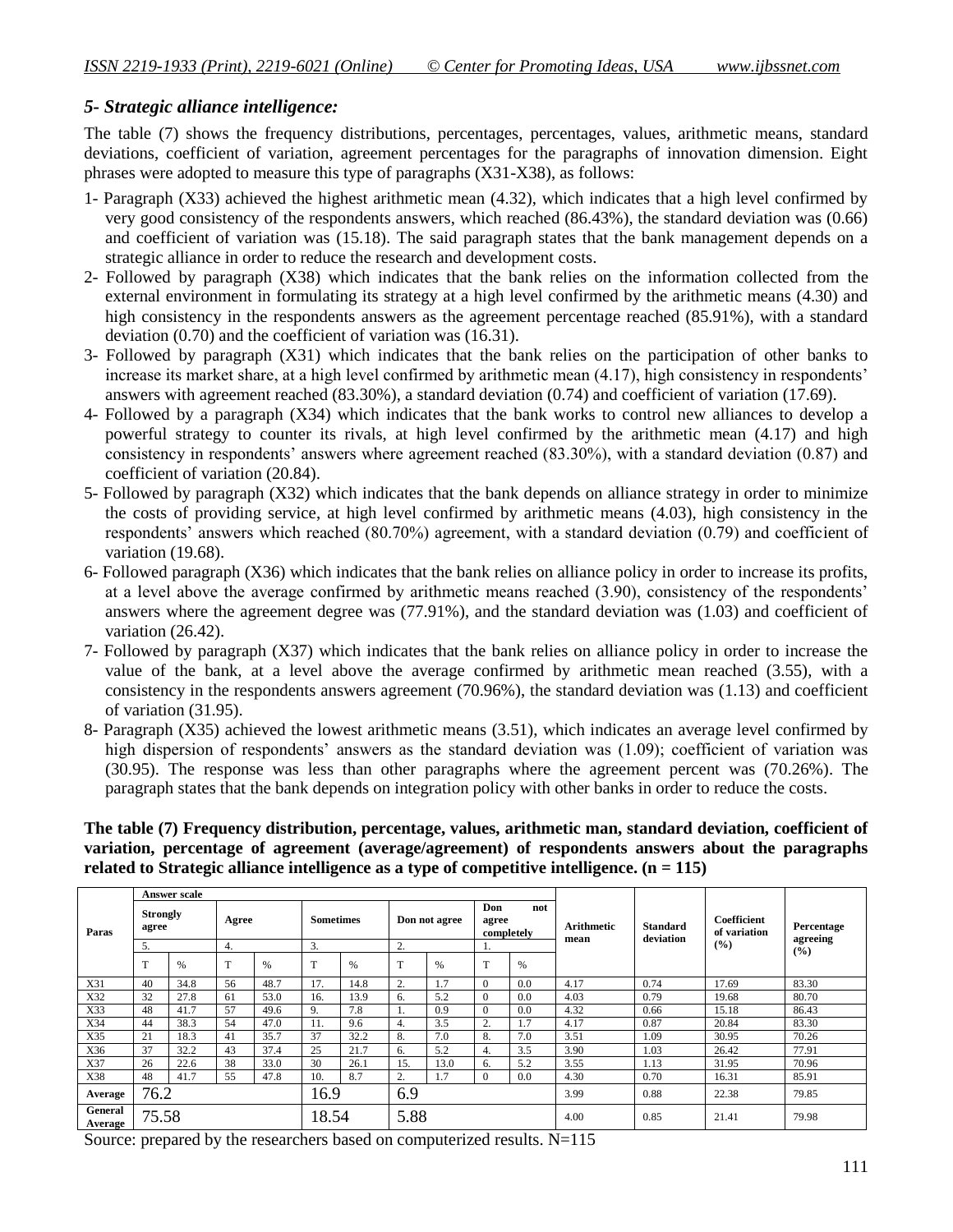# *5- Strategic alliance intelligence:*

The table (7) shows the frequency distributions, percentages, percentages, values, arithmetic means, standard deviations, coefficient of variation, agreement percentages for the paragraphs of innovation dimension. Eight phrases were adopted to measure this type of paragraphs (X31-X38), as follows:

- 1- Paragraph (X33) achieved the highest arithmetic mean (4.32), which indicates that a high level confirmed by very good consistency of the respondents answers, which reached (86.43%), the standard deviation was (0.66) and coefficient of variation was (15.18). The said paragraph states that the bank management depends on a strategic alliance in order to reduce the research and development costs.
- 2- Followed by paragraph (X38) which indicates that the bank relies on the information collected from the external environment in formulating its strategy at a high level confirmed by the arithmetic means (4.30) and high consistency in the respondents answers as the agreement percentage reached (85.91%), with a standard deviation (0.70) and the coefficient of variation was (16.31).
- 3- Followed by paragraph (X31) which indicates that the bank relies on the participation of other banks to increase its market share, at a high level confirmed by arithmetic mean  $(4.17)$ , high consistency in respondents' answers with agreement reached (83.30%), a standard deviation (0.74) and coefficient of variation (17.69).
- 4- Followed by a paragraph (X34) which indicates that the bank works to control new alliances to develop a powerful strategy to counter its rivals, at high level confirmed by the arithmetic mean (4.17) and high consistency in respondents' answers where agreement reached (83.30%), with a standard deviation (0.87) and coefficient of variation (20.84).
- 5- Followed by paragraph (X32) which indicates that the bank depends on alliance strategy in order to minimize the costs of providing service, at high level confirmed by arithmetic means (4.03), high consistency in the respondents" answers which reached (80.70%) agreement, with a standard deviation (0.79) and coefficient of variation (19.68).
- 6- Followed paragraph (X36) which indicates that the bank relies on alliance policy in order to increase its profits, at a level above the average confirmed by arithmetic means reached (3.90), consistency of the respondents' answers where the agreement degree was (77.91%), and the standard deviation was (1.03) and coefficient of variation (26.42).
- 7- Followed by paragraph (X37) which indicates that the bank relies on alliance policy in order to increase the value of the bank, at a level above the average confirmed by arithmetic mean reached (3.55), with a consistency in the respondents answers agreement (70.96%), the standard deviation was (1.13) and coefficient of variation (31.95).
- 8- Paragraph (X35) achieved the lowest arithmetic means (3.51), which indicates an average level confirmed by high dispersion of respondents' answers as the standard deviation was (1.09); coefficient of variation was (30.95). The response was less than other paragraphs where the agreement percent was (70.26%). The paragraph states that the bank depends on integration policy with other banks in order to reduce the costs.

**The table (7) Frequency distribution, percentage, values, arithmetic man, standard deviation, coefficient of variation, percentage of agreement (average/agreement) of respondents answers about the paragraphs related to Strategic alliance intelligence as a type of competitive intelligence. (n = 115)**

|                    |                          | <b>Answer scale</b> |       |      |                  |      |      |               |              |                   |                           |                              |                             |                        |
|--------------------|--------------------------|---------------------|-------|------|------------------|------|------|---------------|--------------|-------------------|---------------------------|------------------------------|-----------------------------|------------------------|
| Paras              | <b>Strongly</b><br>agree |                     | Agree |      | <b>Sometimes</b> |      |      | Don not agree | Don<br>agree | not<br>completely | <b>Arithmetic</b><br>mean | <b>Standard</b><br>deviation | Coefficient<br>of variation | Percentage<br>agreeing |
|                    | 5.                       |                     | 4.    |      | 3.               |      | 2.   |               | 1.           |                   |                           |                              | (%)                         | (%)                    |
|                    | T                        | $\frac{9}{6}$       | T     | %    | T                | %    | T    | %             | T            | %                 |                           |                              |                             |                        |
| X31                | 40                       | 34.8                | 56    | 48.7 | 17.              | 14.8 | 2.   | 1.7           | $\theta$     | 0.0               | 4.17                      | 0.74                         | 17.69                       | 83.30                  |
| X32                | 32                       | 27.8                | 61    | 53.0 | 16.              | 13.9 | 6.   | 5.2           | $\theta$     | 0.0               | 4.03                      | 0.79                         | 19.68                       | 80.70                  |
| X33                | 48                       | 41.7                | 57    | 49.6 | 9.               | 7.8  | -1.  | 0.9           | $\mathbf{0}$ | 0.0               | 4.32                      | 0.66                         | 15.18                       | 86.43                  |
| X34                | 44                       | 38.3                | 54    | 47.0 | 11.              | 9.6  | 4.   | 3.5           | 2.           | 1.7               | 4.17                      | 0.87                         | 20.84                       | 83.30                  |
| X35                | 21                       | 18.3                | 41    | 35.7 | 37               | 32.2 | 8.   | 7.0           | 8.           | 7.0               | 3.51                      | 1.09                         | 30.95                       | 70.26                  |
| X36                | 37                       | 32.2                | 43    | 37.4 | 25               | 21.7 | 6.   | 5.2           | 4.           | 3.5               | 3.90                      | 1.03                         | 26.42                       | 77.91                  |
| X37                | 26                       | 22.6                | 38    | 33.0 | 30               | 26.1 | 15.  | 13.0          | 6.           | 5.2               | 3.55                      | 1.13                         | 31.95                       | 70.96                  |
| X38                | 48                       | 41.7                | 55    | 47.8 | 10.              | 8.7  | 2.   | 1.7           | $\theta$     | 0.0               | 4.30                      | 0.70                         | 16.31                       | 85.91                  |
| Average            | 76.2                     |                     |       |      | 16.9             |      | 6.9  |               |              |                   | 3.99                      | 0.88                         | 22.38                       | 79.85                  |
| General<br>Average | 75.58                    |                     |       |      | 18.54            |      | 5.88 |               |              |                   | 4.00                      | 0.85                         | 21.41                       | 79.98                  |

Source: prepared by the researchers based on computerized results. N=115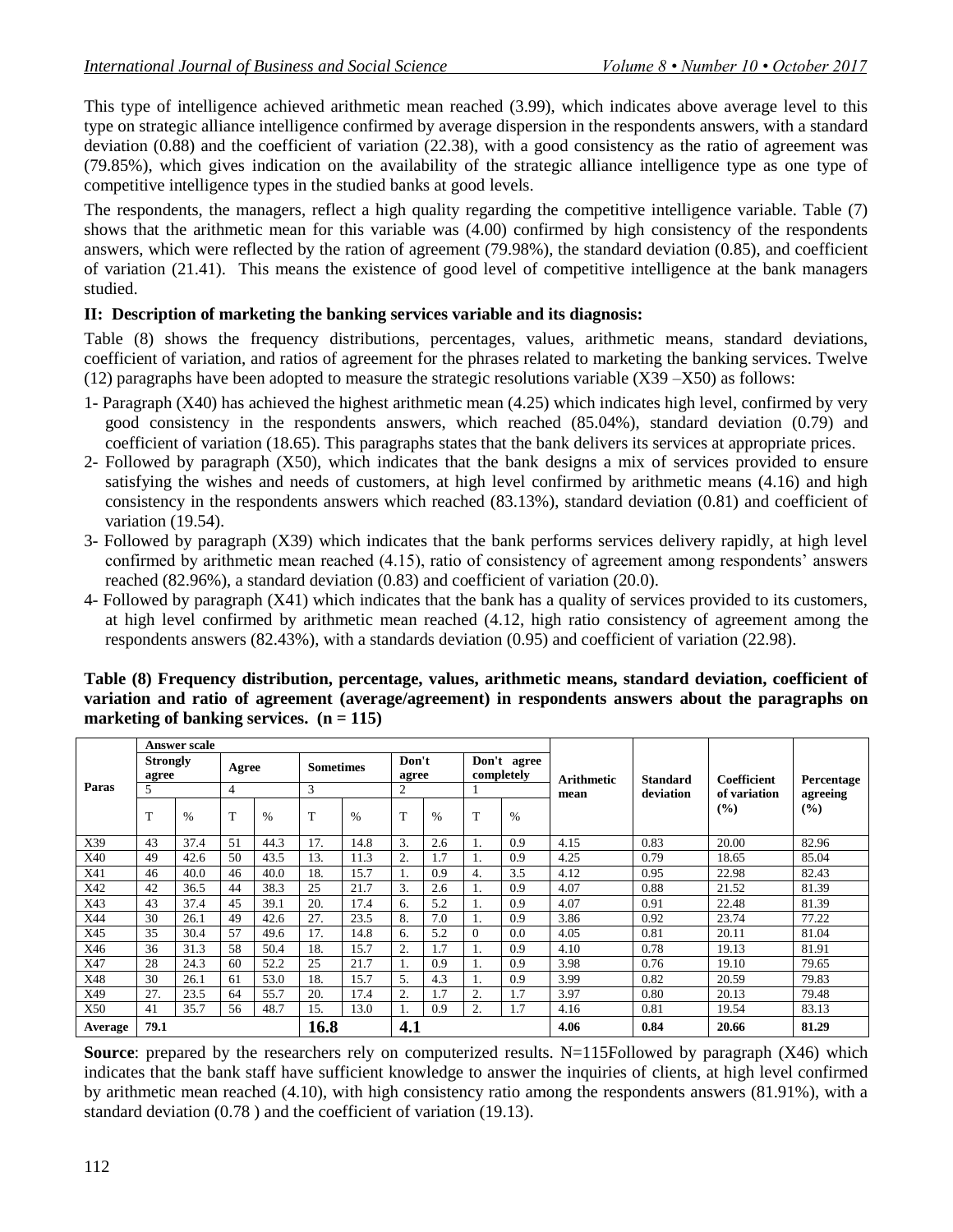This type of intelligence achieved arithmetic mean reached (3.99), which indicates above average level to this type on strategic alliance intelligence confirmed by average dispersion in the respondents answers, with a standard deviation (0.88) and the coefficient of variation (22.38), with a good consistency as the ratio of agreement was (79.85%), which gives indication on the availability of the strategic alliance intelligence type as one type of competitive intelligence types in the studied banks at good levels.

The respondents, the managers, reflect a high quality regarding the competitive intelligence variable. Table (7) shows that the arithmetic mean for this variable was (4.00) confirmed by high consistency of the respondents answers, which were reflected by the ration of agreement (79.98%), the standard deviation (0.85), and coefficient of variation (21.41). This means the existence of good level of competitive intelligence at the bank managers studied.

# **II: Description of marketing the banking services variable and its diagnosis:**

Table (8) shows the frequency distributions, percentages, values, arithmetic means, standard deviations, coefficient of variation, and ratios of agreement for the phrases related to marketing the banking services. Twelve (12) paragraphs have been adopted to measure the strategic resolutions variable  $(X39 - X50)$  as follows:

- 1- Paragraph (X40) has achieved the highest arithmetic mean (4.25) which indicates high level, confirmed by very good consistency in the respondents answers, which reached (85.04%), standard deviation (0.79) and coefficient of variation (18.65). This paragraphs states that the bank delivers its services at appropriate prices.
- 2- Followed by paragraph (X50), which indicates that the bank designs a mix of services provided to ensure satisfying the wishes and needs of customers, at high level confirmed by arithmetic means (4.16) and high consistency in the respondents answers which reached (83.13%), standard deviation (0.81) and coefficient of variation (19.54).
- 3- Followed by paragraph (X39) which indicates that the bank performs services delivery rapidly, at high level confirmed by arithmetic mean reached (4.15), ratio of consistency of agreement among respondents" answers reached (82.96%), a standard deviation (0.83) and coefficient of variation (20.0).
- 4- Followed by paragraph (X41) which indicates that the bank has a quality of services provided to its customers, at high level confirmed by arithmetic mean reached (4.12, high ratio consistency of agreement among the respondents answers (82.43%), with a standards deviation (0.95) and coefficient of variation (22.98).

|         |                          | <b>Answer scale</b> |                |       |      |                  |                |                |          |                           |            |                 |              |            |
|---------|--------------------------|---------------------|----------------|-------|------|------------------|----------------|----------------|----------|---------------------------|------------|-----------------|--------------|------------|
|         | <b>Strongly</b><br>agree |                     |                | Agree |      | <b>Sometimes</b> |                | Don't<br>agree |          | Don't agree<br>completely | Arithmetic | <b>Standard</b> | Coefficient  | Percentage |
| Paras   | 5                        |                     | $\overline{4}$ |       | 3    |                  | $\overline{2}$ |                |          |                           | mean       | deviation       | of variation | agreeing   |
|         | T                        | $\%$                | T              | $\%$  | T    | $\frac{0}{0}$    | T              | $\frac{0}{0}$  | T        | $\%$                      |            |                 | (%)          | $(\%)$     |
| X39     | 43                       | 37.4                | 51             | 44.3  | 17.  | 14.8             | 3.             | 2.6            |          | 0.9                       | 4.15       | 0.83            | 20.00        | 82.96      |
| X40     | 49                       | 42.6                | 50             | 43.5  | 13.  | 11.3             | 2.             | 1.7            |          | 0.9                       | 4.25       | 0.79            | 18.65        | 85.04      |
| X41     | 46                       | 40.0                | 46             | 40.0  | 18.  | 15.7             |                | 0.9            | 4.       | 3.5                       | 4.12       | 0.95            | 22.98        | 82.43      |
| X42     | 42                       | 36.5                | 44             | 38.3  | 25   | 21.7             | 3.             | 2.6            |          | 0.9                       | 4.07       | 0.88            | 21.52        | 81.39      |
| X43     | 43                       | 37.4                | 45             | 39.1  | 20.  | 17.4             | 6.             | 5.2            |          | 0.9                       | 4.07       | 0.91            | 22.48        | 81.39      |
| X44     | 30                       | 26.1                | 49             | 42.6  | 27.  | 23.5             | 8.             | 7.0            |          | 0.9                       | 3.86       | 0.92            | 23.74        | 77.22      |
| X45     | 35                       | 30.4                | 57             | 49.6  | 17.  | 14.8             | 6.             | 5.2            | $\theta$ | 0.0                       | 4.05       | 0.81            | 20.11        | 81.04      |
| X46     | 36                       | 31.3                | 58             | 50.4  | 18.  | 15.7             | 2.             | 1.7            |          | 0.9                       | 4.10       | 0.78            | 19.13        | 81.91      |
| X47     | 28                       | 24.3                | 60             | 52.2  | 25   | 21.7             | ı.             | 0.9            |          | 0.9                       | 3.98       | 0.76            | 19.10        | 79.65      |
| X48     | 30                       | 26.1                | 61             | 53.0  | 18.  | 15.7             | 5.             | 4.3            |          | 0.9                       | 3.99       | 0.82            | 20.59        | 79.83      |
| X49     | 27.                      | 23.5                | 64             | 55.7  | 20.  | 17.4             | 2.             | 1.7            | 2.       | 1.7                       | 3.97       | 0.80            | 20.13        | 79.48      |
| X50     | 41                       | 35.7                | 56             | 48.7  | 15.  | 13.0             |                | 0.9            | 2.       | 1.7                       | 4.16       | 0.81            | 19.54        | 83.13      |
| Average | 79.1                     |                     |                |       | 16.8 |                  | 4.1            |                |          |                           | 4.06       | 0.84            | 20.66        | 81.29      |

**Table (8) Frequency distribution, percentage, values, arithmetic means, standard deviation, coefficient of variation and ratio of agreement (average/agreement) in respondents answers about the paragraphs on marketing of banking services. (n = 115)**

**Source**: prepared by the researchers rely on computerized results. N=115Followed by paragraph (X46) which indicates that the bank staff have sufficient knowledge to answer the inquiries of clients, at high level confirmed by arithmetic mean reached (4.10), with high consistency ratio among the respondents answers (81.91%), with a standard deviation (0.78 ) and the coefficient of variation (19.13).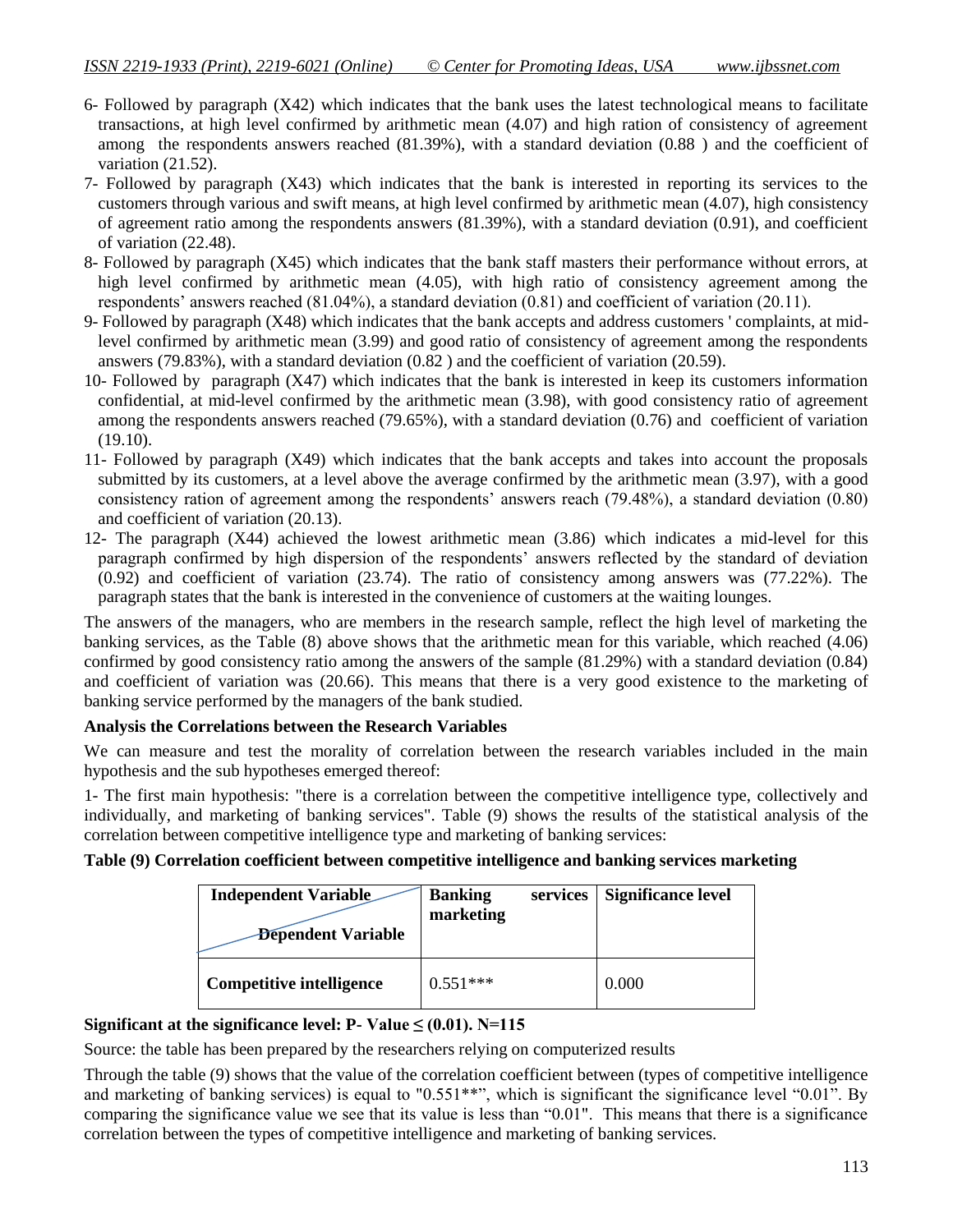- 6- Followed by paragraph (X42) which indicates that the bank uses the latest technological means to facilitate transactions, at high level confirmed by arithmetic mean (4.07) and high ration of consistency of agreement among the respondents answers reached (81.39%), with a standard deviation (0.88 ) and the coefficient of variation (21.52).
- 7- Followed by paragraph (X43) which indicates that the bank is interested in reporting its services to the customers through various and swift means, at high level confirmed by arithmetic mean (4.07), high consistency of agreement ratio among the respondents answers (81.39%), with a standard deviation (0.91), and coefficient of variation (22.48).
- 8- Followed by paragraph (X45) which indicates that the bank staff masters their performance without errors, at high level confirmed by arithmetic mean (4.05), with high ratio of consistency agreement among the respondents' answers reached  $(81.04\%)$ , a standard deviation  $(0.81)$  and coefficient of variation  $(20.11)$ .
- 9- Followed by paragraph (X48) which indicates that the bank accepts and address customers ' complaints, at midlevel confirmed by arithmetic mean (3.99) and good ratio of consistency of agreement among the respondents answers (79.83%), with a standard deviation (0.82 ) and the coefficient of variation (20.59).
- 10- Followed by paragraph (X47) which indicates that the bank is interested in keep its customers information confidential, at mid-level confirmed by the arithmetic mean (3.98), with good consistency ratio of agreement among the respondents answers reached (79.65%), with a standard deviation (0.76) and coefficient of variation (19.10).
- 11- Followed by paragraph (X49) which indicates that the bank accepts and takes into account the proposals submitted by its customers, at a level above the average confirmed by the arithmetic mean (3.97), with a good consistency ration of agreement among the respondents' answers reach (79.48%), a standard deviation (0.80) and coefficient of variation (20.13).
- 12- The paragraph (X44) achieved the lowest arithmetic mean (3.86) which indicates a mid-level for this paragraph confirmed by high dispersion of the respondents" answers reflected by the standard of deviation (0.92) and coefficient of variation (23.74). The ratio of consistency among answers was (77.22%). The paragraph states that the bank is interested in the convenience of customers at the waiting lounges.

The answers of the managers, who are members in the research sample, reflect the high level of marketing the banking services, as the Table (8) above shows that the arithmetic mean for this variable, which reached (4.06) confirmed by good consistency ratio among the answers of the sample (81.29%) with a standard deviation (0.84) and coefficient of variation was (20.66). This means that there is a very good existence to the marketing of banking service performed by the managers of the bank studied.

### **Analysis the Correlations between the Research Variables**

We can measure and test the morality of correlation between the research variables included in the main hypothesis and the sub hypotheses emerged thereof:

1- The first main hypothesis: "there is a correlation between the competitive intelligence type, collectively and individually, and marketing of banking services". Table (9) shows the results of the statistical analysis of the correlation between competitive intelligence type and marketing of banking services:

### **Table (9) Correlation coefficient between competitive intelligence and banking services marketing**

| <b>Independent Variable</b><br><b>Dependent Variable</b> | <b>Banking</b><br>services<br>marketing | <b>Significance level</b> |
|----------------------------------------------------------|-----------------------------------------|---------------------------|
| <b>Competitive intelligence</b>                          | $0.551***$                              | 0.000                     |

### **Significant at the significance level: P-**  $Value \leq (0.01)$ . N=115

Source: the table has been prepared by the researchers relying on computerized results

Through the table (9) shows that the value of the correlation coefficient between (types of competitive intelligence and marketing of banking services) is equal to "0.551\*\*", which is significant the significance level "0.01". By comparing the significance value we see that its value is less than "0.01". This means that there is a significance correlation between the types of competitive intelligence and marketing of banking services.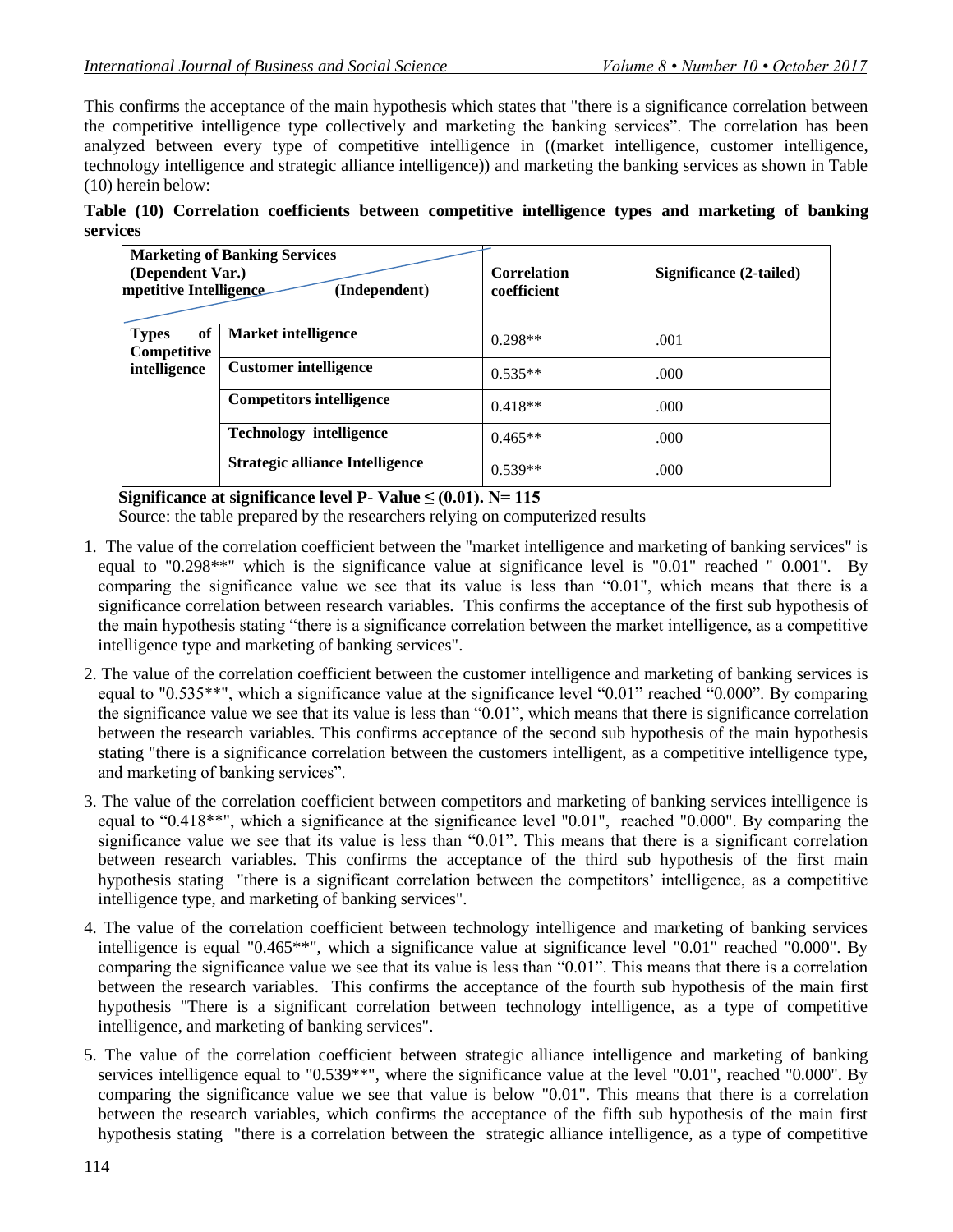This confirms the acceptance of the main hypothesis which states that "there is a significance correlation between the competitive intelligence type collectively and marketing the banking services". The correlation has been analyzed between every type of competitive intelligence in ((market intelligence, customer intelligence, technology intelligence and strategic alliance intelligence)) and marketing the banking services as shown in Table (10) herein below:

|          |  |  | Table (10) Correlation coefficients between competitive intelligence types and marketing of banking |  |  |  |
|----------|--|--|-----------------------------------------------------------------------------------------------------|--|--|--|
| services |  |  |                                                                                                     |  |  |  |

| (Dependent Var.)<br>mpetitive Intelligence | <b>Marketing of Banking Services</b><br>(Independent) | <b>Correlation</b><br>coefficient | <b>Significance (2-tailed)</b> |
|--------------------------------------------|-------------------------------------------------------|-----------------------------------|--------------------------------|
| of<br><b>Types</b><br>Competitive          | <b>Market intelligence</b>                            | $0.298**$                         | .001                           |
| intelligence                               | <b>Customer intelligence</b>                          | $0.535**$                         | .000                           |
|                                            | <b>Competitors intelligence</b>                       | $0.418**$                         | .000                           |
|                                            | <b>Technology intelligence</b>                        | $0.465**$                         | .000                           |
|                                            | <b>Strategic alliance Intelligence</b>                | $0.539**$                         | .000                           |

 **Significance at significance level P- Value ≤ (0.01). N= 115**

Source: the table prepared by the researchers relying on computerized results

- 1. The value of the correlation coefficient between the "market intelligence and marketing of banking services" is equal to "0.298\*\*" which is the significance value at significance level is "0.01" reached " 0.001". By comparing the significance value we see that its value is less than "0.01", which means that there is a significance correlation between research variables. This confirms the acceptance of the first sub hypothesis of the main hypothesis stating "there is a significance correlation between the market intelligence, as a competitive intelligence type and marketing of banking services".
- 2. The value of the correlation coefficient between the customer intelligence and marketing of banking services is equal to "0.535\*\*", which a significance value at the significance level "0.01" reached "0.000". By comparing the significance value we see that its value is less than "0.01", which means that there is significance correlation between the research variables. This confirms acceptance of the second sub hypothesis of the main hypothesis stating "there is a significance correlation between the customers intelligent, as a competitive intelligence type, and marketing of banking services".
- 3. The value of the correlation coefficient between competitors and marketing of banking services intelligence is equal to "0.418\*\*", which a significance at the significance level "0.01", reached "0.000". By comparing the significance value we see that its value is less than "0.01". This means that there is a significant correlation between research variables. This confirms the acceptance of the third sub hypothesis of the first main hypothesis stating "there is a significant correlation between the competitors' intelligence, as a competitive intelligence type, and marketing of banking services".
- 4. The value of the correlation coefficient between technology intelligence and marketing of banking services intelligence is equal "0.465\*\*", which a significance value at significance level "0.01" reached "0.000". By comparing the significance value we see that its value is less than "0.01". This means that there is a correlation between the research variables. This confirms the acceptance of the fourth sub hypothesis of the main first hypothesis "There is a significant correlation between technology intelligence, as a type of competitive intelligence, and marketing of banking services".
- 5. The value of the correlation coefficient between strategic alliance intelligence and marketing of banking services intelligence equal to "0.539\*\*", where the significance value at the level "0.01", reached "0.000". By comparing the significance value we see that value is below "0.01". This means that there is a correlation between the research variables, which confirms the acceptance of the fifth sub hypothesis of the main first hypothesis stating "there is a correlation between the strategic alliance intelligence, as a type of competitive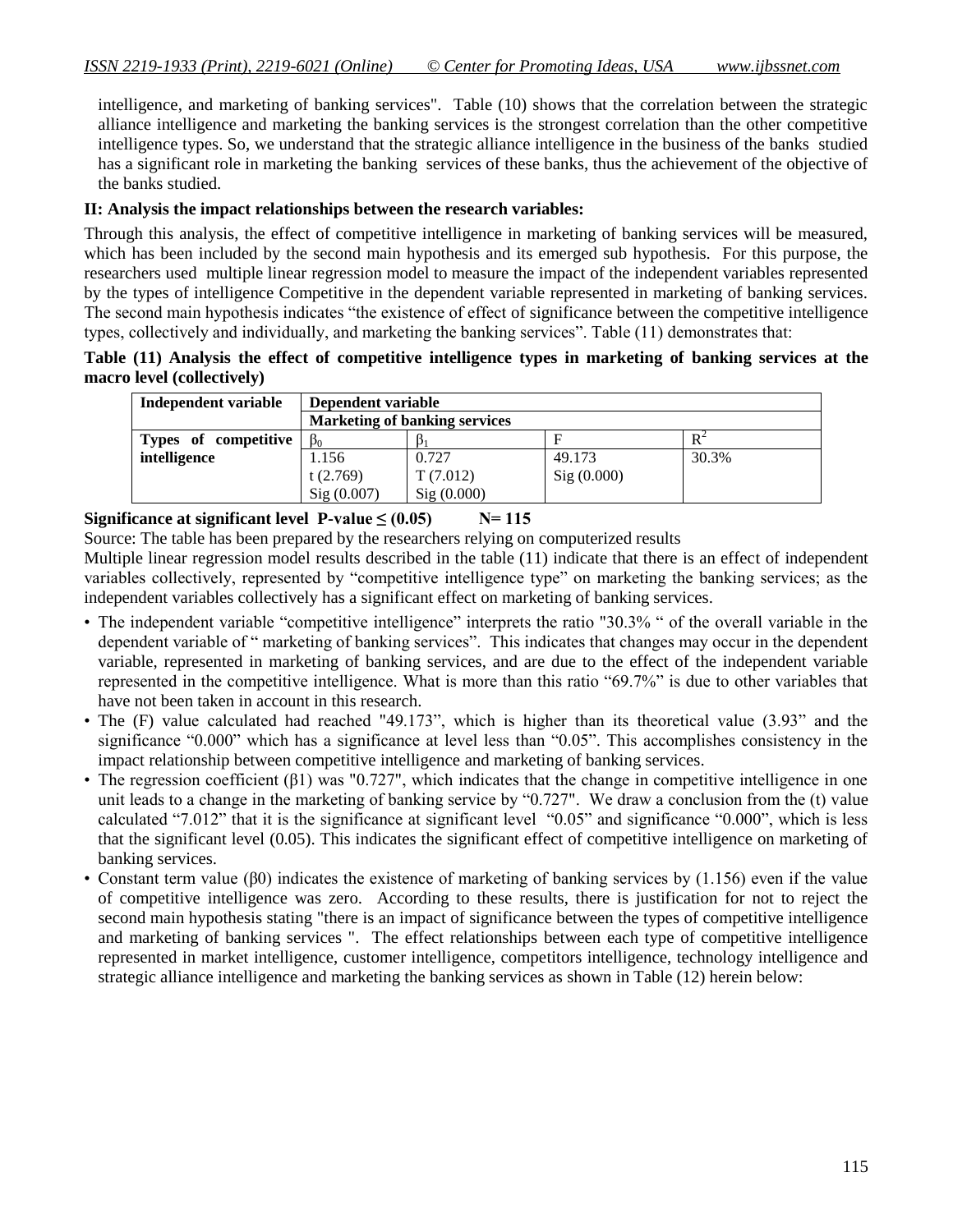intelligence, and marketing of banking services". Table (10) shows that the correlation between the strategic alliance intelligence and marketing the banking services is the strongest correlation than the other competitive intelligence types. So, we understand that the strategic alliance intelligence in the business of the banks studied has a significant role in marketing the banking services of these banks, thus the achievement of the objective of the banks studied.

### **II: Analysis the impact relationships between the research variables:**

Through this analysis, the effect of competitive intelligence in marketing of banking services will be measured, which has been included by the second main hypothesis and its emerged sub hypothesis. For this purpose, the researchers used multiple linear regression model to measure the impact of the independent variables represented by the types of intelligence Competitive in the dependent variable represented in marketing of banking services. The second main hypothesis indicates "the existence of effect of significance between the competitive intelligence types, collectively and individually, and marketing the banking services". Table (11) demonstrates that:

**Table (11) Analysis the effect of competitive intelligence types in marketing of banking services at the macro level (collectively)** 

| Independent variable | Dependent variable |                                      |            |       |  |  |  |  |  |  |  |  |  |
|----------------------|--------------------|--------------------------------------|------------|-------|--|--|--|--|--|--|--|--|--|
|                      |                    | <b>Marketing of banking services</b> |            |       |  |  |  |  |  |  |  |  |  |
| Types of competitive | $B_0$              |                                      | F          | $R^2$ |  |  |  |  |  |  |  |  |  |
| intelligence         | 1.156              | 0.727                                | 49.173     | 30.3% |  |  |  |  |  |  |  |  |  |
|                      | t $(2.769)$        | T(7.012)                             | Sig(0.000) |       |  |  |  |  |  |  |  |  |  |
|                      | Sig(0.007)         | Sig(0.000)                           |            |       |  |  |  |  |  |  |  |  |  |

### Significance at significant level  $P-value \le (0.05)$  N= 115

Source: The table has been prepared by the researchers relying on computerized results

Multiple linear regression model results described in the table (11) indicate that there is an effect of independent variables collectively, represented by "competitive intelligence type" on marketing the banking services; as the independent variables collectively has a significant effect on marketing of banking services.

- The independent variable "competitive intelligence" interprets the ratio "30.3% " of the overall variable in the dependent variable of " marketing of banking services". This indicates that changes may occur in the dependent variable, represented in marketing of banking services, and are due to the effect of the independent variable represented in the competitive intelligence. What is more than this ratio "69.7%" is due to other variables that have not been taken in account in this research.
- The (F) value calculated had reached "49.173", which is higher than its theoretical value (3.93" and the significance "0.000" which has a significance at level less than "0.05". This accomplishes consistency in the impact relationship between competitive intelligence and marketing of banking services.
- The regression coefficient (β1) was "0.727", which indicates that the change in competitive intelligence in one unit leads to a change in the marketing of banking service by "0.727". We draw a conclusion from the (t) value calculated "7.012" that it is the significance at significant level "0.05" and significance "0.000", which is less that the significant level (0.05). This indicates the significant effect of competitive intelligence on marketing of banking services.
- Constant term value (β0) indicates the existence of marketing of banking services by  $(1.156)$  even if the value of competitive intelligence was zero. According to these results, there is justification for not to reject the second main hypothesis stating "there is an impact of significance between the types of competitive intelligence and marketing of banking services ". The effect relationships between each type of competitive intelligence represented in market intelligence, customer intelligence, competitors intelligence, technology intelligence and strategic alliance intelligence and marketing the banking services as shown in Table (12) herein below: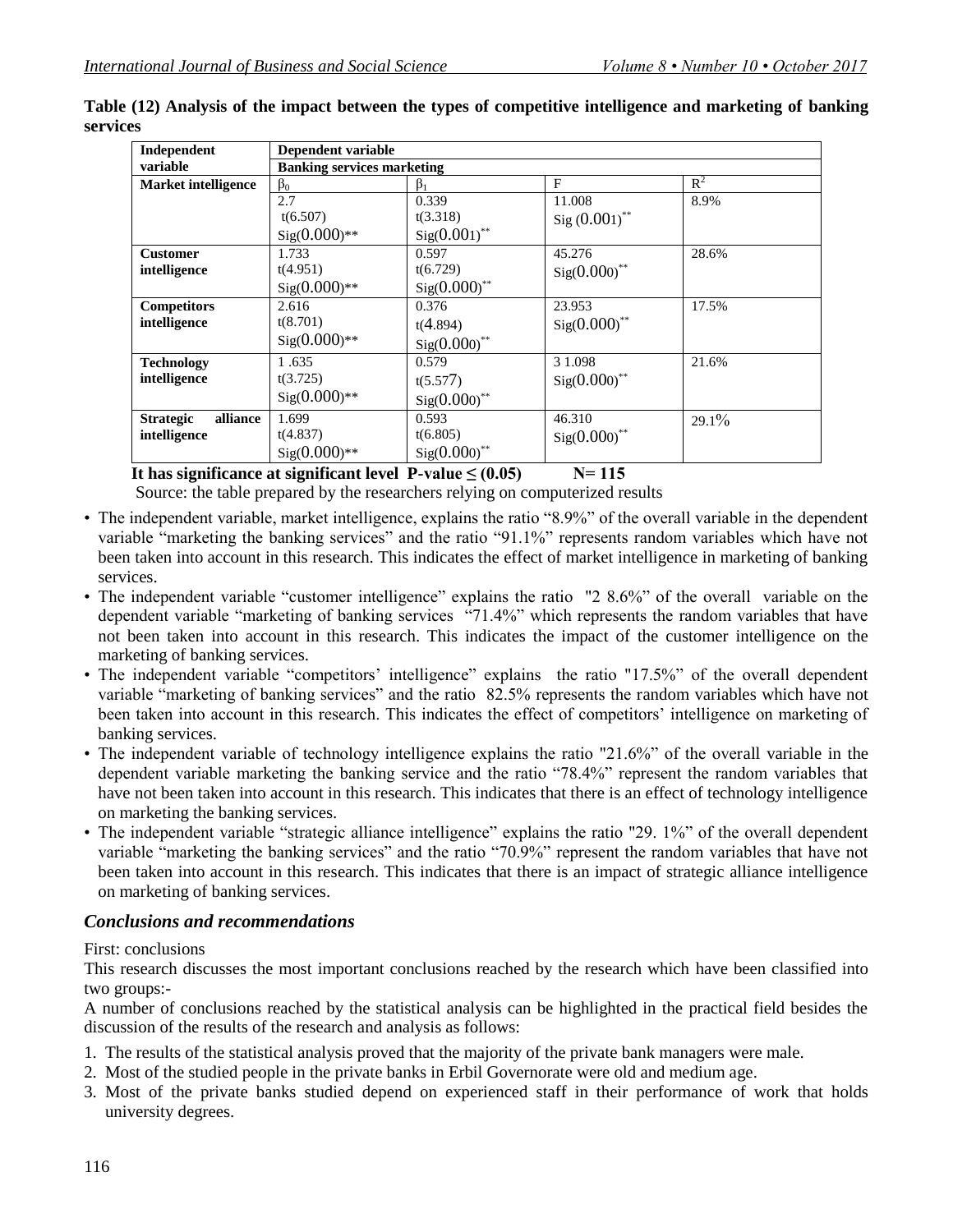| Independent                  | Dependent variable                |                            |                   |                |
|------------------------------|-----------------------------------|----------------------------|-------------------|----------------|
| variable                     | <b>Banking services marketing</b> |                            |                   |                |
| <b>Market intelligence</b>   | $\beta_0$                         | $\beta_1$                  | F                 | $\mathbb{R}^2$ |
|                              | 2.7                               | 0.339                      | 11.008            | 8.9%           |
|                              | t(6.507)                          | t(3.318)                   | Sig $(0.001)$ **  |                |
|                              | $Sig(0.000)**$                    | $Sig(0.001)$ **            |                   |                |
| <b>Customer</b>              | 1.733                             | 0.597                      | 45.276            | 28.6%          |
| intelligence                 | t(4.951)                          | t(6.729)                   | $Sig(0.000)^{**}$ |                |
|                              | $Sig(0.000)**$                    | $Sig(0.000)$ **            |                   |                |
| <b>Competitors</b>           | 2.616                             | 0.376                      | 23.953            | 17.5%          |
| intelligence                 | t(8.701)                          | t(4.894)                   | $Sig(0.000)^{**}$ |                |
|                              | $Sig(0.000)**$                    | $Sig(0.000)^{**}$          |                   |                |
| <b>Technology</b>            | 1.635                             | 0.579                      | 3 1.098           | 21.6%          |
| intelligence                 | t(3.725)                          | t(5.577)                   | $Sig(0.000)$ **   |                |
|                              | $Sig(0.000)**$                    | $Sig(0.000)$ <sup>**</sup> |                   |                |
| alliance<br><b>Strategic</b> | 1.699                             | 0.593                      | 46.310            | $29.1\%$       |
| intelligence                 | t(4.837)                          | t(6.805)                   | $Sig(0.000)^{**}$ |                |
|                              | $Sig(0.000)**$                    | $Sig(0.000)$ **            |                   |                |

**Table (12) Analysis of the impact between the types of competitive intelligence and marketing of banking services**

# It has significance at significant level  $P-value \le (0.05)$  N= 115

Source: the table prepared by the researchers relying on computerized results

- The independent variable, market intelligence, explains the ratio "8.9%" of the overall variable in the dependent variable "marketing the banking services" and the ratio "91.1%" represents random variables which have not been taken into account in this research. This indicates the effect of market intelligence in marketing of banking services.
- The independent variable "customer intelligence" explains the ratio "2 8.6%" of the overall variable on the dependent variable "marketing of banking services "71.4%" which represents the random variables that have not been taken into account in this research. This indicates the impact of the customer intelligence on the marketing of banking services.
- The independent variable "competitors' intelligence" explains the ratio "17.5%" of the overall dependent variable "marketing of banking services" and the ratio 82.5% represents the random variables which have not been taken into account in this research. This indicates the effect of competitors' intelligence on marketing of banking services.
- The independent variable of technology intelligence explains the ratio "21.6%" of the overall variable in the dependent variable marketing the banking service and the ratio "78.4%" represent the random variables that have not been taken into account in this research. This indicates that there is an effect of technology intelligence on marketing the banking services.
- The independent variable "strategic alliance intelligence" explains the ratio "29. 1%" of the overall dependent variable "marketing the banking services" and the ratio "70.9%" represent the random variables that have not been taken into account in this research. This indicates that there is an impact of strategic alliance intelligence on marketing of banking services.

### *Conclusions and recommendations*

### First: conclusions

This research discusses the most important conclusions reached by the research which have been classified into two groups:-

A number of conclusions reached by the statistical analysis can be highlighted in the practical field besides the discussion of the results of the research and analysis as follows:

- 1. The results of the statistical analysis proved that the majority of the private bank managers were male.
- 2. Most of the studied people in the private banks in Erbil Governorate were old and medium age.
- 3. Most of the private banks studied depend on experienced staff in their performance of work that holds university degrees.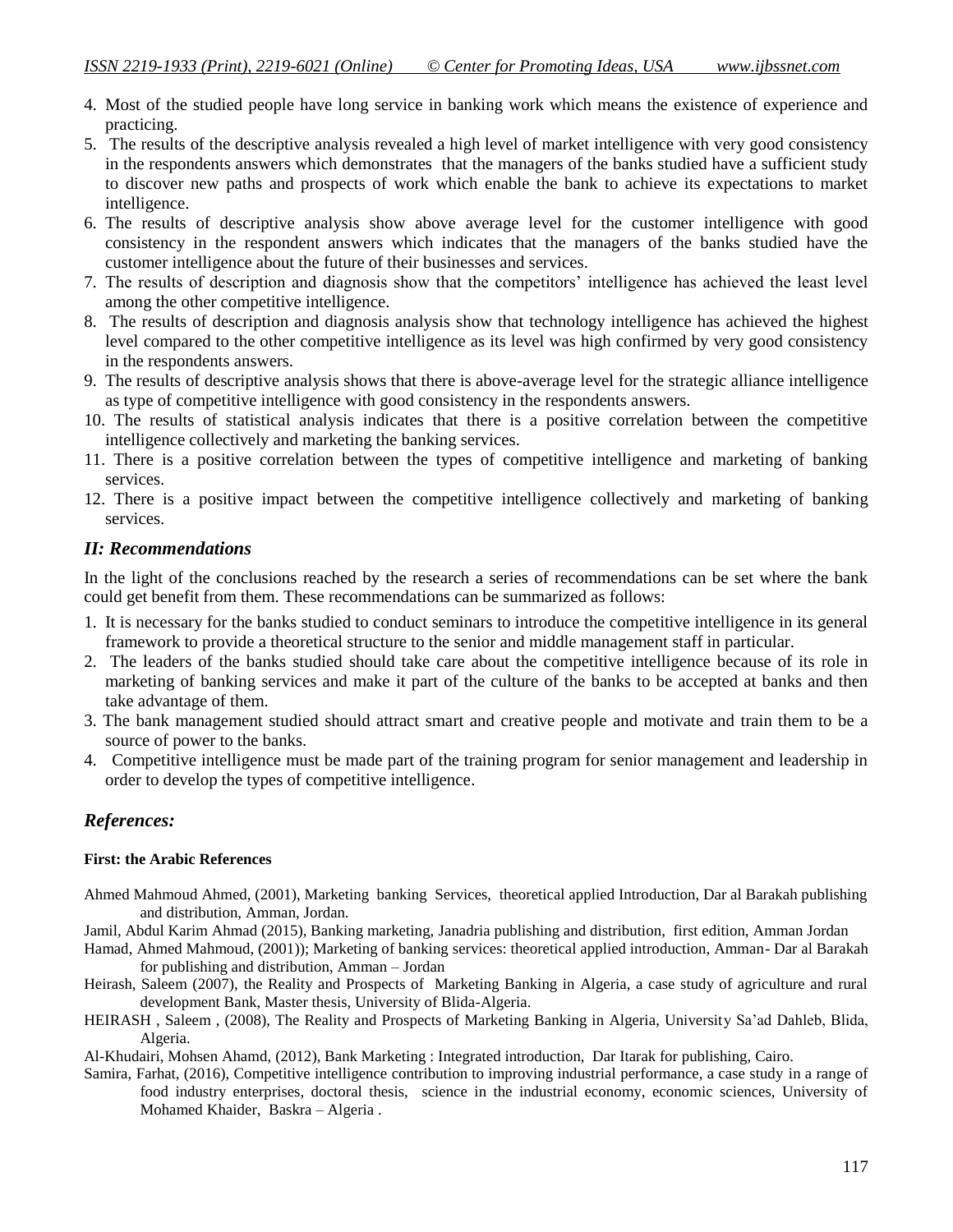- 4. Most of the studied people have long service in banking work which means the existence of experience and practicing.
- 5. The results of the descriptive analysis revealed a high level of market intelligence with very good consistency in the respondents answers which demonstrates that the managers of the banks studied have a sufficient study to discover new paths and prospects of work which enable the bank to achieve its expectations to market intelligence.
- 6. The results of descriptive analysis show above average level for the customer intelligence with good consistency in the respondent answers which indicates that the managers of the banks studied have the customer intelligence about the future of their businesses and services.
- 7. The results of description and diagnosis show that the competitors" intelligence has achieved the least level among the other competitive intelligence.
- 8. The results of description and diagnosis analysis show that technology intelligence has achieved the highest level compared to the other competitive intelligence as its level was high confirmed by very good consistency in the respondents answers.
- 9. The results of descriptive analysis shows that there is above-average level for the strategic alliance intelligence as type of competitive intelligence with good consistency in the respondents answers.
- 10. The results of statistical analysis indicates that there is a positive correlation between the competitive intelligence collectively and marketing the banking services.
- 11. There is a positive correlation between the types of competitive intelligence and marketing of banking services.
- 12. There is a positive impact between the competitive intelligence collectively and marketing of banking services.

### *II: Recommendations*

In the light of the conclusions reached by the research a series of recommendations can be set where the bank could get benefit from them. These recommendations can be summarized as follows:

- 1. It is necessary for the banks studied to conduct seminars to introduce the competitive intelligence in its general framework to provide a theoretical structure to the senior and middle management staff in particular.
- 2. The leaders of the banks studied should take care about the competitive intelligence because of its role in marketing of banking services and make it part of the culture of the banks to be accepted at banks and then take advantage of them.
- 3. The bank management studied should attract smart and creative people and motivate and train them to be a source of power to the banks.
- 4. Competitive intelligence must be made part of the training program for senior management and leadership in order to develop the types of competitive intelligence.

# *References:*

#### **First: the Arabic References**

- Ahmed Mahmoud Ahmed, (2001), Marketing banking Services, theoretical applied Introduction, Dar al Barakah publishing and distribution, Amman, Jordan.
- Jamil, Abdul Karim Ahmad (2015), Banking marketing, Janadria publishing and distribution, first edition, Amman Jordan
- Hamad, Ahmed Mahmoud, (2001)); Marketing of banking services: theoretical applied introduction, Amman- Dar al Barakah for publishing and distribution, Amman – Jordan
- Heirash, Saleem (2007), the Reality and Prospects of Marketing Banking in Algeria, a case study of agriculture and rural development Bank, Master thesis, University of Blida-Algeria.
- HEIRASH , Saleem , (2008), The Reality and Prospects of Marketing Banking in Algeria, University Sa"ad Dahleb, Blida, Algeria.

Al-Khudairi, Mohsen Ahamd, (2012), Bank Marketing : Integrated introduction, Dar Itarak for publishing, Cairo.

Samira, Farhat, (2016), Competitive intelligence contribution to improving industrial performance, a case study in a range of food industry enterprises, doctoral thesis, science in the industrial economy, economic sciences, University of Mohamed Khaider, Baskra – Algeria .